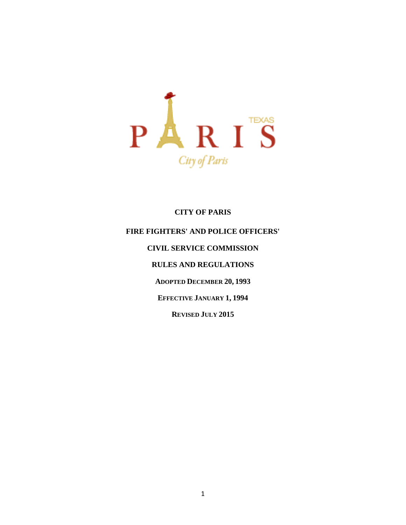

## **CITY OF PARIS**

# **FIRE FIGHTERS' AND POLICE OFFICERS' CIVIL SERVICE COMMISSION RULES AND REGULATIONS ADOPTED DECEMBER 20, 1993 EFFECTIVE JANUARY 1, 1994 REVISED JULY 2015**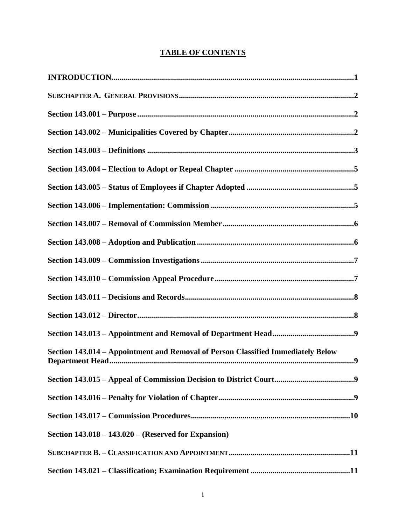| <b>TABLE OF CONTENTS</b> |
|--------------------------|
|--------------------------|

| Section 143.014 - Appointment and Removal of Person Classified Immediately Below |
|----------------------------------------------------------------------------------|
|                                                                                  |
|                                                                                  |
|                                                                                  |
| Section $143.018 - 143.020 -$ (Reserved for Expansion)                           |
|                                                                                  |
|                                                                                  |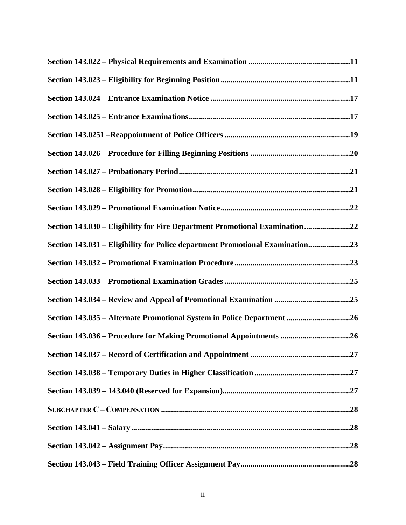| Section 143.030 - Eligibility for Fire Department Promotional Examination 22  |
|-------------------------------------------------------------------------------|
| Section 143.031 – Eligibility for Police department Promotional Examination23 |
|                                                                               |
|                                                                               |
|                                                                               |
| Section 143.035 - Alternate Promotional System in Police Department 26        |
|                                                                               |
|                                                                               |
|                                                                               |
|                                                                               |
|                                                                               |
|                                                                               |
|                                                                               |
|                                                                               |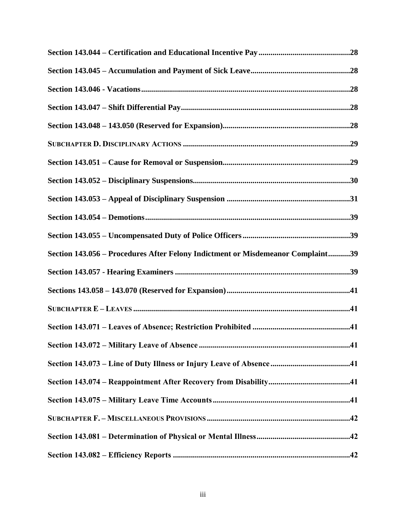| Section 143.056 – Procedures After Felony Indictment or Misdemeanor Complaint39 |  |
|---------------------------------------------------------------------------------|--|
|                                                                                 |  |
|                                                                                 |  |
|                                                                                 |  |
|                                                                                 |  |
|                                                                                 |  |
|                                                                                 |  |
|                                                                                 |  |
|                                                                                 |  |
|                                                                                 |  |
|                                                                                 |  |
|                                                                                 |  |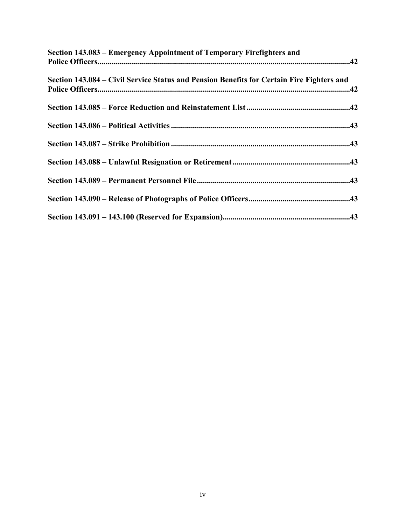| Section 143.083 – Emergency Appointment of Temporary Firefighters and                     |  |
|-------------------------------------------------------------------------------------------|--|
| Section 143.084 – Civil Service Status and Pension Benefits for Certain Fire Fighters and |  |
|                                                                                           |  |
|                                                                                           |  |
|                                                                                           |  |
|                                                                                           |  |
|                                                                                           |  |
|                                                                                           |  |
|                                                                                           |  |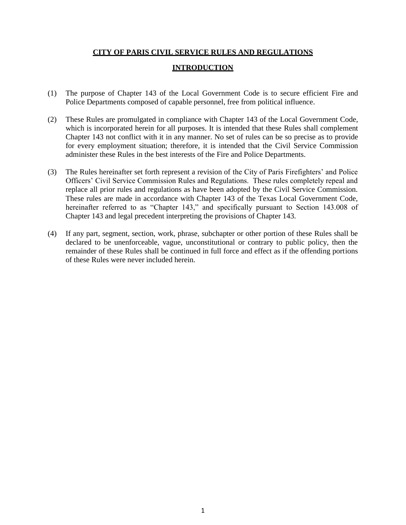#### **CITY OF PARIS CIVIL SERVICE RULES AND REGULATIONS**

#### **INTRODUCTION**

- (1) The purpose of Chapter 143 of the Local Government Code is to secure efficient Fire and Police Departments composed of capable personnel, free from political influence.
- (2) These Rules are promulgated in compliance with Chapter 143 of the Local Government Code, which is incorporated herein for all purposes. It is intended that these Rules shall complement Chapter 143 not conflict with it in any manner. No set of rules can be so precise as to provide for every employment situation; therefore, it is intended that the Civil Service Commission administer these Rules in the best interests of the Fire and Police Departments.
- (3) The Rules hereinafter set forth represent a revision of the City of Paris Firefighters' and Police Officers' Civil Service Commission Rules and Regulations. These rules completely repeal and replace all prior rules and regulations as have been adopted by the Civil Service Commission. These rules are made in accordance with Chapter 143 of the Texas Local Government Code, hereinafter referred to as "Chapter 143," and specifically pursuant to Section 143.008 of Chapter 143 and legal precedent interpreting the provisions of Chapter 143.
- (4) If any part, segment, section, work, phrase, subchapter or other portion of these Rules shall be declared to be unenforceable, vague, unconstitutional or contrary to public policy, then the remainder of these Rules shall be continued in full force and effect as if the offending portions of these Rules were never included herein.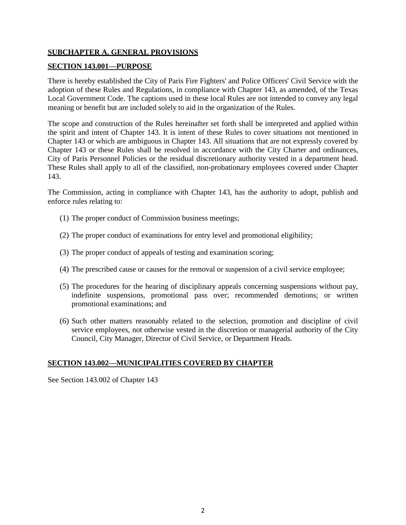## **SUBCHAPTER A. GENERAL PROVISIONS**

#### **SECTION 143.001—PURPOSE**

There is hereby established the City of Paris Fire Fighters' and Police Officers' Civil Service with the adoption of these Rules and Regulations, in compliance with Chapter 143, as amended, of the Texas Local Government Code. The captions used in these local Rules are not intended to convey any legal meaning or benefit but are included solely to aid in the organization of the Rules.

The scope and construction of the Rules hereinafter set forth shall be interpreted and applied within the spirit and intent of Chapter 143. It is intent of these Rules to cover situations not mentioned in Chapter 143 or which are ambiguous in Chapter 143. All situations that are not expressly covered by Chapter 143 or these Rules shall be resolved in accordance with the City Charter and ordinances, City of Paris Personnel Policies or the residual discretionary authority vested in a department head. These Rules shall apply to all of the classified, non-probationary employees covered under Chapter 143.

The Commission, acting in compliance with Chapter 143, has the authority to adopt, publish and enforce rules relating to:

- (1) The proper conduct of Commission business meetings;
- (2) The proper conduct of examinations for entry level and promotional eligibility;
- (3) The proper conduct of appeals of testing and examination scoring;
- (4) The prescribed cause or causes for the removal or suspension of a civil service employee;
- (5) The procedures for the hearing of disciplinary appeals concerning suspensions without pay, indefinite suspensions, promotional pass over; recommended demotions; or written promotional examinations; and
- (6) Such other matters reasonably related to the selection, promotion and discipline of civil service employees, not otherwise vested in the discretion or managerial authority of the City Council, City Manager, Director of Civil Service, or Department Heads.

## **SECTION 143.002—MUNICIPALITIES COVERED BY CHAPTER**

See Section 143.002 of Chapter 143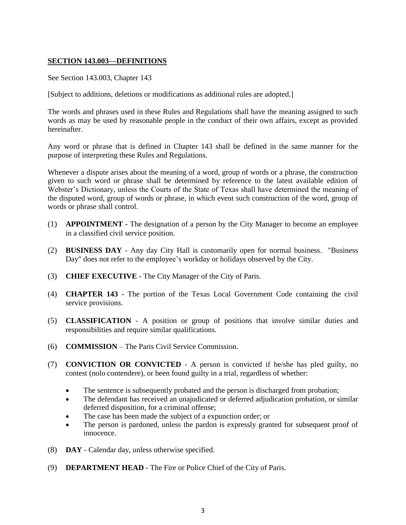## **SECTION 143.003—DEFINITIONS**

See Section 143.003, Chapter 143

[Subject to additions, deletions or modifications as additional rules are adopted.]

The words and phrases used in these Rules and Regulations shall have the meaning assigned to such words as may be used by reasonable people in the conduct of their own affairs, except as provided hereinafter.

Any word or phrase that is defined in Chapter 143 shall be defined in the same manner for the purpose of interpreting these Rules and Regulations.

Whenever a dispute arises about the meaning of a word, group of words or a phrase, the construction given to such word or phrase shall be determined by reference to the latest available edition of Webster's Dictionary, unless the Courts of the State of Texas shall have determined the meaning of the disputed word, group of words or phrase, in which event such construction of the word, group of words or phrase shall control.

- (1) **APPOINTMENT** The designation of a person by the City Manager to become an employee in a classified civil service position.
- (2) **BUSINESS DAY**  Any day City Hall is customarily open for normal business. "Business Day" does not refer to the employee's workday or holidays observed by the City.
- (3) **CHIEF EXECUTIVE**  The City Manager of the City of Paris.
- (4) **CHAPTER 143** The portion of the Texas Local Government Code containing the civil service provisions.
- (5) **CLASSIFICATION** A position or group of positions that involve similar duties and responsibilities and require similar qualifications.
- (6) **COMMISSION** The Paris Civil Service Commission.
- (7) **CONVICTION OR CONVICTED** A person is convicted if he/she has pled guilty, no contest (nolo contendere), or been found guilty in a trial, regardless of whether:
	- The sentence is subsequently probated and the person is discharged from probation;
	- The defendant has received an unajudicated or deferred adjudication probation, or similar deferred disposition, for a criminal offense;
	- The case has been made the subject of a expunction order; or
	- The person is pardoned, unless the pardon is expressly granted for subsequent proof of innocence.
- (8) **DAY**  Calendar day, unless otherwise specified.
- (9) **DEPARTMENT HEAD**  The Fire or Police Chief of the City of Paris.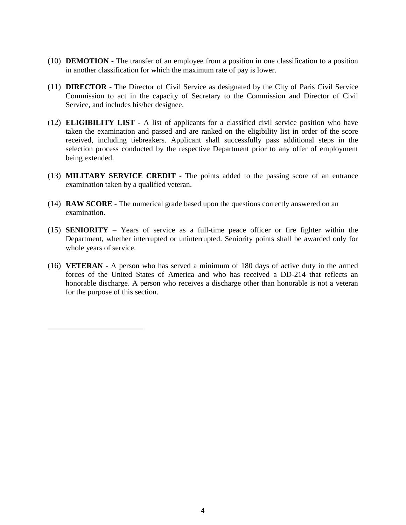- (10) **DEMOTION** The transfer of an employee from a position in one classification to a position in another classification for which the maximum rate of pay is lower.
- (11) **DIRECTOR** The Director of Civil Service as designated by the City of Paris Civil Service Commission to act in the capacity of Secretary to the Commission and Director of Civil Service, and includes his/her designee.
- (12) **ELIGIBILITY LIST** A list of applicants for a classified civil service position who have taken the examination and passed and are ranked on the eligibility list in order of the score received, including tiebreakers. Applicant shall successfully pass additional steps in the selection process conducted by the respective Department prior to any offer of employment being extended.
- (13) **MILITARY SERVICE CREDIT** The points added to the passing score of an entrance examination taken by a qualified veteran.
- (14) **RAW SCORE**  The numerical grade based upon the questions correctly answered on an examination.
- (15) **SENIORITY** Years of service as a full-time peace officer or fire fighter within the Department, whether interrupted or uninterrupted. Seniority points shall be awarded only for whole years of service.
- (16) **VETERAN** A person who has served a minimum of 180 days of active duty in the armed forces of the United States of America and who has received a DD-214 that reflects an honorable discharge. A person who receives a discharge other than honorable is not a veteran for the purpose of this section.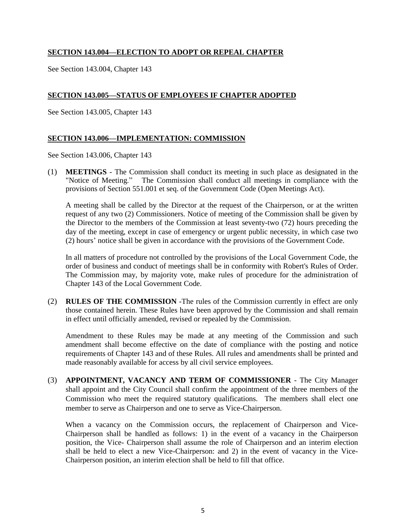## **SECTION 143.004—ELECTION TO ADOPT OR REPEAL CHAPTER**

See Section 143.004, Chapter 143

## **SECTION 143.005—STATUS OF EMPLOYEES IF CHAPTER ADOPTED**

See Section 143.005, Chapter 143

## **SECTION 143.006—IMPLEMENTATION: COMMISSION**

See Section 143.006, Chapter 143

(1) **MEETINGS** - The Commission shall conduct its meeting in such place as designated in the "Notice of Meeting." The Commission shall conduct all meetings in compliance with the provisions of Section 551.001 et seq. of the Government Code (Open Meetings Act).

A meeting shall be called by the Director at the request of the Chairperson, or at the written request of any two (2) Commissioners. Notice of meeting of the Commission shall be given by the Director to the members of the Commission at least seventy-two (72) hours preceding the day of the meeting, except in case of emergency or urgent public necessity, in which case two (2) hours' notice shall be given in accordance with the provisions of the Government Code.

In all matters of procedure not controlled by the provisions of the Local Government Code, the order of business and conduct of meetings shall be in conformity with Robert's Rules of Order. The Commission may, by majority vote, make rules of procedure for the administration of Chapter 143 of the Local Government Code.

(2) **RULES OF THE COMMISSION** -The rules of the Commission currently in effect are only those contained herein. These Rules have been approved by the Commission and shall remain in effect until officially amended, revised or repealed by the Commission.

Amendment to these Rules may be made at any meeting of the Commission and such amendment shall become effective on the date of compliance with the posting and notice requirements of Chapter 143 and of these Rules. All rules and amendments shall be printed and made reasonably available for access by all civil service employees.

(3) **APPOINTMENT, VACANCY AND TERM OF COMMISSIONER** - The City Manager shall appoint and the City Council shall confirm the appointment of the three members of the Commission who meet the required statutory qualifications. The members shall elect one member to serve as Chairperson and one to serve as Vice-Chairperson.

When a vacancy on the Commission occurs, the replacement of Chairperson and Vice-Chairperson shall be handled as follows: 1) in the event of a vacancy in the Chairperson position, the Vice- Chairperson shall assume the role of Chairperson and an interim election shall be held to elect a new Vice-Chairperson: and 2) in the event of vacancy in the Vice-Chairperson position, an interim election shall be held to fill that office.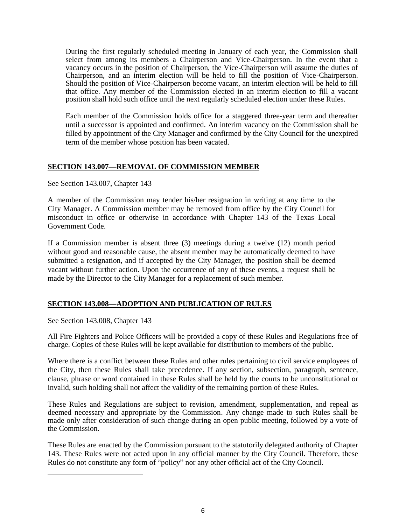During the first regularly scheduled meeting in January of each year, the Commission shall select from among its members a Chairperson and Vice-Chairperson. In the event that a vacancy occurs in the position of Chairperson, the Vice-Chairperson will assume the duties of Chairperson, and an interim election will be held to fill the position of Vice-Chairperson. Should the position of Vice-Chairperson become vacant, an interim election will be held to fill that office. Any member of the Commission elected in an interim election to fill a vacant position shall hold such office until the next regularly scheduled election under these Rules.

Each member of the Commission holds office for a staggered three-year term and thereafter until a successor is appointed and confirmed. An interim vacancy on the Commission shall be filled by appointment of the City Manager and confirmed by the City Council for the unexpired term of the member whose position has been vacated.

## **SECTION 143.007—REMOVAL OF COMMISSION MEMBER**

See Section 143.007, Chapter 143

A member of the Commission may tender his/her resignation in writing at any time to the City Manager. A Commission member may be removed from office by the City Council for misconduct in office or otherwise in accordance with Chapter 143 of the Texas Local Government Code.

If a Commission member is absent three (3) meetings during a twelve (12) month period without good and reasonable cause, the absent member may be automatically deemed to have submitted a resignation, and if accepted by the City Manager, the position shall be deemed vacant without further action. Upon the occurrence of any of these events, a request shall be made by the Director to the City Manager for a replacement of such member.

## **SECTION 143.008—ADOPTION AND PUBLICATION OF RULES**

See Section 143.008, Chapter 143

All Fire Fighters and Police Officers will be provided a copy of these Rules and Regulations free of charge. Copies of these Rules will be kept available for distribution to members of the public.

Where there is a conflict between these Rules and other rules pertaining to civil service employees of the City, then these Rules shall take precedence. If any section, subsection, paragraph, sentence, clause, phrase or word contained in these Rules shall be held by the courts to be unconstitutional or invalid, such holding shall not affect the validity of the remaining portion of these Rules.

These Rules and Regulations are subject to revision, amendment, supplementation, and repeal as deemed necessary and appropriate by the Commission. Any change made to such Rules shall be made only after consideration of such change during an open public meeting, followed by a vote of the Commission.

These Rules are enacted by the Commission pursuant to the statutorily delegated authority of Chapter 143. These Rules were not acted upon in any official manner by the City Council. Therefore, these Rules do not constitute any form of "policy" nor any other official act of the City Council.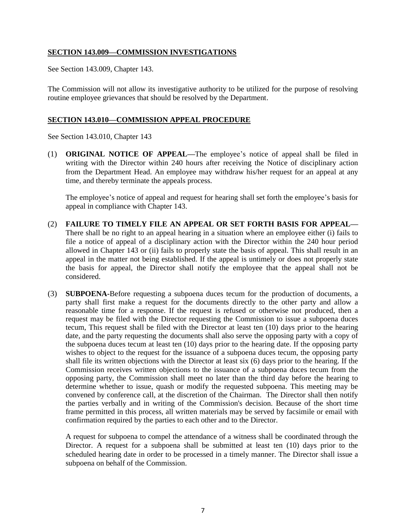## **SECTION 143.009—COMMISSION INVESTIGATIONS**

See Section 143.009, Chapter 143.

The Commission will not allow its investigative authority to be utilized for the purpose of resolving routine employee grievances that should be resolved by the Department.

#### **SECTION 143.010—COMMISSION APPEAL PROCEDURE**

See Section 143.010, Chapter 143

(1) **ORIGINAL NOTICE OF APPEAL—**The employee's notice of appeal shall be filed in writing with the Director within 240 hours after receiving the Notice of disciplinary action from the Department Head. An employee may withdraw his/her request for an appeal at any time, and thereby terminate the appeals process.

The employee's notice of appeal and request for hearing shall set forth the employee's basis for appeal in compliance with Chapter 143.

- (2) **FAILURE TO TIMELY FILE AN APPEAL OR SET FORTH BASIS FOR APPEAL—** There shall be no right to an appeal hearing in a situation where an employee either (i) fails to file a notice of appeal of a disciplinary action with the Director within the 240 hour period allowed in Chapter 143 or (ii) fails to properly state the basis of appeal. This shall result in an appeal in the matter not being established. If the appeal is untimely or does not properly state the basis for appeal, the Director shall notify the employee that the appeal shall not be considered.
- (3) **SUBPOENA-**Before requesting a subpoena duces tecum for the production of documents, a party shall first make a request for the documents directly to the other party and allow a reasonable time for a response. If the request is refused or otherwise not produced, then a request may be filed with the Director requesting the Commission to issue a subpoena duces tecum, This request shall be filed with the Director at least ten (10) days prior to the hearing date, and the party requesting the documents shall also serve the opposing party with a copy of the subpoena duces tecum at least ten (10) days prior to the hearing date. If the opposing party wishes to object to the request for the issuance of a subpoena duces tecum, the opposing party shall file its written objections with the Director at least six (6) days prior to the hearing. If the Commission receives written objections to the issuance of a subpoena duces tecum from the opposing party, the Commission shall meet no later than the third day before the hearing to determine whether to issue, quash or modify the requested subpoena. This meeting may be convened by conference call, at the discretion of the Chairman. The Director shall then notify the parties verbally and in writing of the Commission's decision. Because of the short time frame permitted in this process, all written materials may be served by facsimile or email with confirmation required by the parties to each other and to the Director.

A request for subpoena to compel the attendance of a witness shall be coordinated through the Director. A request for a subpoena shall be submitted at least ten (10) days prior to the scheduled hearing date in order to be processed in a timely manner. The Director shall issue a subpoena on behalf of the Commission.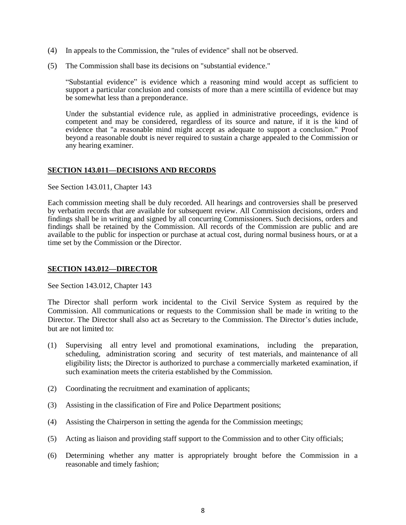- (4) In appeals to the Commission, the "rules of evidence" shall not be observed.
- (5) The Commission shall base its decisions on "substantial evidence."

"Substantial evidence" is evidence which a reasoning mind would accept as sufficient to support a particular conclusion and consists of more than a mere scintilla of evidence but may be somewhat less than a preponderance.

Under the substantial evidence rule, as applied in administrative proceedings, evidence is competent and may be considered, regardless of its source and nature, if it is the kind of evidence that "a reasonable mind might accept as adequate to support a conclusion." Proof beyond a reasonable doubt is never required to sustain a charge appealed to the Commission or any hearing examiner.

#### **SECTION 143.011—DECISIONS AND RECORDS**

See Section 143.011, Chapter 143

Each commission meeting shall be duly recorded. All hearings and controversies shall be preserved by verbatim records that are available for subsequent review. All Commission decisions, orders and findings shall be in writing and signed by all concurring Commissioners. Such decisions, orders and findings shall be retained by the Commission. All records of the Commission are public and are available to the public for inspection or purchase at actual cost, during normal business hours, or at a time set by the Commission or the Director.

#### **SECTION 143.012—DIRECTOR**

See Section 143.012, Chapter 143

The Director shall perform work incidental to the Civil Service System as required by the Commission. All communications or requests to the Commission shall be made in writing to the Director. The Director shall also act as Secretary to the Commission. The Director's duties include, but are not limited to:

- (1) Supervising all entry level and promotional examinations, including the preparation, scheduling, administration scoring and security of test materials, and maintenance of all eligibility lists; the Director is authorized to purchase a commercially marketed examination, if such examination meets the criteria established by the Commission.
- (2) Coordinating the recruitment and examination of applicants;
- (3) Assisting in the classification of Fire and Police Department positions;
- (4) Assisting the Chairperson in setting the agenda for the Commission meetings;
- (5) Acting as liaison and providing staff support to the Commission and to other City officials;
- (6) Determining whether any matter is appropriately brought before the Commission in a reasonable and timely fashion;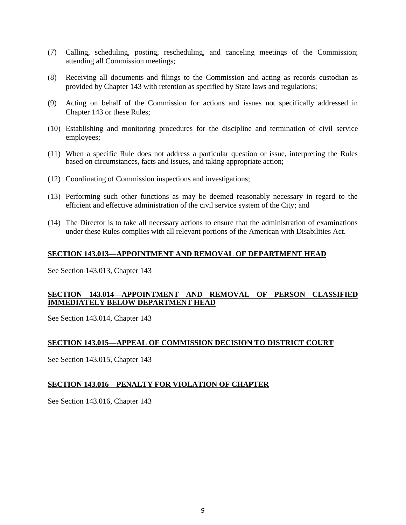- (7) Calling, scheduling, posting, rescheduling, and canceling meetings of the Commission; attending all Commission meetings;
- (8) Receiving all documents and filings to the Commission and acting as records custodian as provided by Chapter 143 with retention as specified by State laws and regulations;
- (9) Acting on behalf of the Commission for actions and issues not specifically addressed in Chapter 143 or these Rules;
- (10) Establishing and monitoring procedures for the discipline and termination of civil service employees;
- (11) When a specific Rule does not address a particular question or issue, interpreting the Rules based on circumstances, facts and issues, and taking appropriate action;
- (12) Coordinating of Commission inspections and investigations;
- (13) Performing such other functions as may be deemed reasonably necessary in regard to the efficient and effective administration of the civil service system of the City; and
- (14) The Director is to take all necessary actions to ensure that the administration of examinations under these Rules complies with all relevant portions of the American with Disabilities Act.

## **SECTION 143.013—APPOINTMENT AND REMOVAL OF DEPARTMENT HEAD**

See Section 143.013, Chapter 143

## **SECTION 143.014—APPOINTMENT AND REMOVAL OF PERSON CLASSIFIED IMMEDIATELY BELOW DEPARTMENT HEAD**

See Section 143.014, Chapter 143

## **SECTION 143.015—APPEAL OF COMMISSION DECISION TO DISTRICT COURT**

See Section 143.015, Chapter 143

## **SECTION 143.016—PENALTY FOR VIOLATION OF CHAPTER**

See Section 143.016, Chapter 143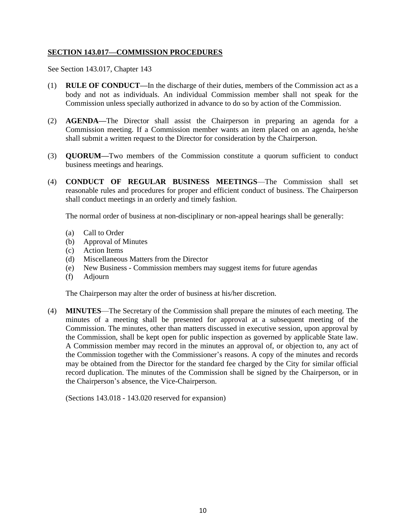## **SECTION 143.017—COMMISSION PROCEDURES**

See Section 143.017, Chapter 143

- (1) **RULE OF CONDUCT—**In the discharge of their duties, members of the Commission act as a body and not as individuals. An individual Commission member shall not speak for the Commission unless specially authorized in advance to do so by action of the Commission.
- (2) **AGENDA—**The Director shall assist the Chairperson in preparing an agenda for a Commission meeting. If a Commission member wants an item placed on an agenda, he/she shall submit a written request to the Director for consideration by the Chairperson.
- (3) **QUORUM—**Two members of the Commission constitute a quorum sufficient to conduct business meetings and hearings.
- (4) **CONDUCT OF REGULAR BUSINESS MEETINGS**—The Commission shall set reasonable rules and procedures for proper and efficient conduct of business. The Chairperson shall conduct meetings in an orderly and timely fashion.

The normal order of business at non-disciplinary or non-appeal hearings shall be generally:

- (a) Call to Order
- (b) Approval of Minutes
- (c) Action Items
- (d) Miscellaneous Matters from the Director
- (e) New Business Commission members may suggest items for future agendas
- (f) Adjourn

The Chairperson may alter the order of business at his/her discretion.

(4) **MINUTES**—The Secretary of the Commission shall prepare the minutes of each meeting. The minutes of a meeting shall be presented for approval at a subsequent meeting of the Commission. The minutes, other than matters discussed in executive session, upon approval by the Commission, shall be kept open for public inspection as governed by applicable State law. A Commission member may record in the minutes an approval of, or objection to, any act of the Commission together with the Commissioner's reasons. A copy of the minutes and records may be obtained from the Director for the standard fee charged by the City for similar official record duplication. The minutes of the Commission shall be signed by the Chairperson, or in the Chairperson's absence, the Vice-Chairperson.

(Sections 143.018 - 143.020 reserved for expansion)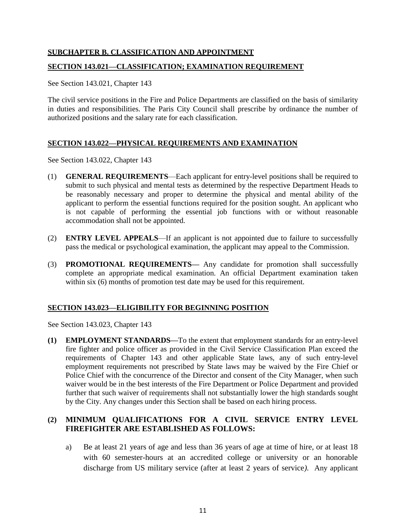## **SUBCHAPTER B. CLASSIFICATION AND APPOINTMENT**

#### **SECTION 143.021—CLASSIFICATION; EXAMINATION REQUIREMENT**

See Section 143.021, Chapter 143

The civil service positions in the Fire and Police Departments are classified on the basis of similarity in duties and responsibilities. The Paris City Council shall prescribe by ordinance the number of authorized positions and the salary rate for each classification.

## **SECTION 143.022—PHYSICAL REQUIREMENTS AND EXAMINATION**

See Section 143.022, Chapter 143

- (1) **GENERAL REQUIREMENTS**—Each applicant for entry-level positions shall be required to submit to such physical and mental tests as determined by the respective Department Heads to be reasonably necessary and proper to determine the physical and mental ability of the applicant to perform the essential functions required for the position sought. An applicant who is not capable of performing the essential job functions with or without reasonable accommodation shall not be appointed.
- (2) **ENTRY LEVEL APPEALS**—If an applicant is not appointed due to failure to successfully pass the medical or psychological examination, the applicant may appeal to the Commission.
- (3) **PROMOTIONAL REQUIREMENTS—** Any candidate for promotion shall successfully complete an appropriate medical examination. An official Department examination taken within six (6) months of promotion test date may be used for this requirement.

## **SECTION 143.023—ELIGIBILITY FOR BEGINNING POSITION**

See Section 143.023, Chapter 143

**(1) EMPLOYMENT STANDARDS—**To the extent that employment standards for an entry-level fire fighter and police officer as provided in the Civil Service Classification Plan exceed the requirements of Chapter 143 and other applicable State laws, any of such entry-level employment requirements not prescribed by State laws may be waived by the Fire Chief or Police Chief with the concurrence of the Director and consent of the City Manager, when such waiver would be in the best interests of the Fire Department or Police Department and provided further that such waiver of requirements shall not substantially lower the high standards sought by the City. Any changes under this Section shall be based on each hiring process.

## **(2) MINIMUM QUALIFICATIONS FOR A CIVIL SERVICE ENTRY LEVEL FIREFIGHTER ARE ESTABLISHED AS FOLLOWS:**

a) Be at least 21 years of age and less than 36 years of age at time of hire, or at least 18 with 60 semester-hours at an accredited college or university or an honorable discharge from US military service (after at least 2 years of service*).* Any applicant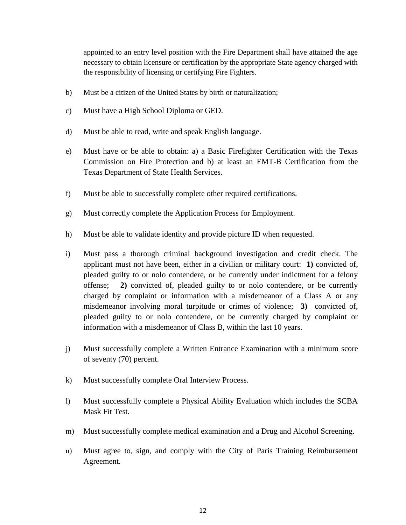appointed to an entry level position with the Fire Department shall have attained the age necessary to obtain licensure or certification by the appropriate State agency charged with the responsibility of licensing or certifying Fire Fighters.

- b) Must be a citizen of the United States by birth or naturalization;
- c) Must have a High School Diploma or GED.
- d) Must be able to read, write and speak English language.
- e) Must have or be able to obtain: a) a Basic Firefighter Certification with the Texas Commission on Fire Protection and b) at least an EMT-B Certification from the Texas Department of State Health Services.
- f) Must be able to successfully complete other required certifications.
- g) Must correctly complete the Application Process for Employment.
- h) Must be able to validate identity and provide picture ID when requested.
- i) Must pass a thorough criminal background investigation and credit check. The applicant must not have been, either in a civilian or military court: **1)** convicted of, pleaded guilty to or nolo contendere, or be currently under indictment for a felony offense; **2)** convicted of, pleaded guilty to or nolo contendere, or be currently charged by complaint or information with a misdemeanor of a Class A or any misdemeanor involving moral turpitude or crimes of violence; **3)** convicted of, pleaded guilty to or nolo contendere, or be currently charged by complaint or information with a misdemeanor of Class B, within the last 10 years.
- j) Must successfully complete a Written Entrance Examination with a minimum score of seventy (70) percent.
- k) Must successfully complete Oral Interview Process.
- l) Must successfully complete a Physical Ability Evaluation which includes the SCBA Mask Fit Test.
- m) Must successfully complete medical examination and a Drug and Alcohol Screening.
- n) Must agree to, sign, and comply with the City of Paris Training Reimbursement Agreement.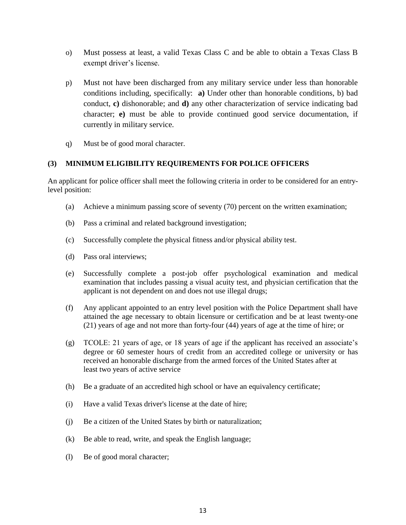- o) Must possess at least, a valid Texas Class C and be able to obtain a Texas Class B exempt driver's license.
- p) Must not have been discharged from any military service under less than honorable conditions including, specifically: **a)** Under other than honorable conditions, b) bad conduct, **c)** dishonorable; and **d)** any other characterization of service indicating bad character; **e)** must be able to provide continued good service documentation, if currently in military service.
- q) Must be of good moral character.

## **(3) MINIMUM ELIGIBILITY REQUIREMENTS FOR POLICE OFFICERS**

An applicant for police officer shall meet the following criteria in order to be considered for an entrylevel position:

- (a) Achieve a minimum passing score of seventy (70) percent on the written examination;
- (b) Pass a criminal and related background investigation;
- (c) Successfully complete the physical fitness and/or physical ability test.
- (d) Pass oral interviews;
- (e) Successfully complete a post-job offer psychological examination and medical examination that includes passing a visual acuity test, and physician certification that the applicant is not dependent on and does not use illegal drugs;
- (f) Any applicant appointed to an entry level position with the Police Department shall have attained the age necessary to obtain licensure or certification and be at least twenty-one (21) years of age and not more than forty-four (44) years of age at the time of hire; or
- (g) TCOLE: 21 years of age, or 18 years of age if the applicant has received an associate's degree or 60 semester hours of credit from an accredited college or university or has received an honorable discharge from the armed forces of the United States after at least two years of active service
- (h) Be a graduate of an accredited high school or have an equivalency certificate;
- (i) Have a valid Texas driver's license at the date of hire;
- (j) Be a citizen of the United States by birth or naturalization;
- (k) Be able to read, write, and speak the English language;
- (l) Be of good moral character;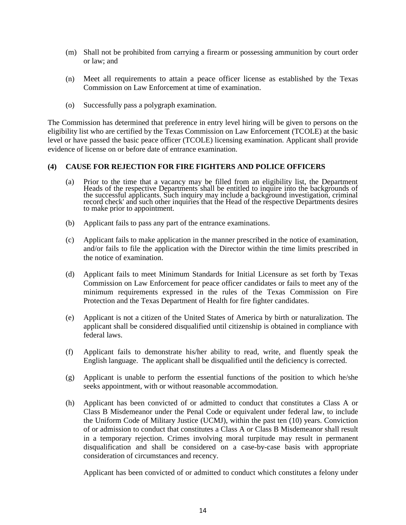- (m) Shall not be prohibited from carrying a firearm or possessing ammunition by court order or law; and
- (n) Meet all requirements to attain a peace officer license as established by the Texas Commission on Law Enforcement at time of examination.
- (o) Successfully pass a polygraph examination.

The Commission has determined that preference in entry level hiring will be given to persons on the eligibility list who are certified by the Texas Commission on Law Enforcement (TCOLE) at the basic level or have passed the basic peace officer (TCOLE) licensing examination. Applicant shall provide evidence of license on or before date of entrance examination.

#### **(4) CAUSE FOR REJECTION FOR FIRE FIGHTERS AND POLICE OFFICERS**

- (a) Prior to the time that a vacancy may be filled from an eligibility list, the Department Heads of the respective Departments shall be entitled to inquire into the backgrounds of the successful applicants. Such inquiry may include a background investigation, criminal record check' and such other inquiries that the Head of the respective Departments desires to make prior to appointment.
- (b) Applicant fails to pass any part of the entrance examinations.
- (c) Applicant fails to make application in the manner prescribed in the notice of examination, and/or fails to file the application with the Director within the time limits prescribed in the notice of examination.
- (d) Applicant fails to meet Minimum Standards for Initial Licensure as set forth by Texas Commission on Law Enforcement for peace officer candidates or fails to meet any of the minimum requirements expressed in the rules of the Texas Commission on Fire Protection and the Texas Department of Health for fire fighter candidates.
- (e) Applicant is not a citizen of the United States of America by birth or naturalization. The applicant shall be considered disqualified until citizenship is obtained in compliance with federal laws.
- (f) Applicant fails to demonstrate his/her ability to read, write, and fluently speak the English language. The applicant shall be disqualified until the deficiency is corrected.
- (g) Applicant is unable to perform the essential functions of the position to which he/she seeks appointment, with or without reasonable accommodation.
- (h) Applicant has been convicted of or admitted to conduct that constitutes a Class A or Class B Misdemeanor under the Penal Code or equivalent under federal law, to include the Uniform Code of Military Justice (UCMJ), within the past ten (10) years. Conviction of or admission to conduct that constitutes a Class A or Class B Misdemeanor shall result in a temporary rejection. Crimes involving moral turpitude may result in permanent disqualification and shall be considered on a case-by-case basis with appropriate consideration of circumstances and recency.

Applicant has been convicted of or admitted to conduct which constitutes a felony under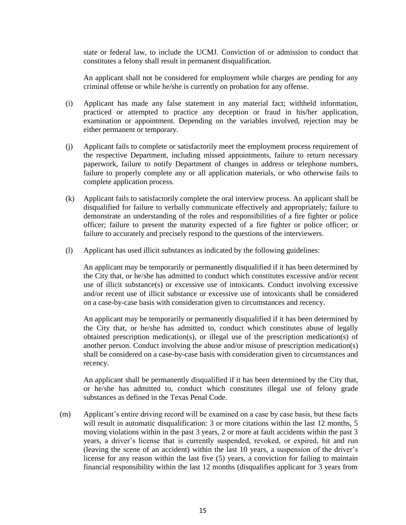state or federal law, to include the UCMJ. Conviction of or admission to conduct that constitutes a felony shall result in permanent disqualification.

An applicant shall not be considered for employment while charges are pending for any criminal offense or while he/she is currently on probation for any offense.

- (i) Applicant has made any false statement in any material fact; withheld information, practiced or attempted to practice any deception or fraud in his/her application, examination or appointment. Depending on the variables involved, rejection may be either permanent or temporary.
- (j) Applicant fails to complete or satisfactorily meet the employment process requirement of the respective Department, including missed appointments, failure to return necessary paperwork, failure to notify Department of changes in address or telephone numbers, failure to properly complete any or all application materials, or who otherwise fails to complete application process.
- (k) Applicant fails to satisfactorily complete the oral interview process. An applicant shall be disqualified for failure to verbally communicate effectively and appropriately; failure to demonstrate an understanding of the roles and responsibilities of a fire fighter or police officer; failure to present the maturity expected of a fire fighter or police officer; or failure to accurately and precisely respond to the questions of the interviewers.
- (l) Applicant has used illicit substances as indicated by the following guidelines:

An applicant may be temporarily or permanently disqualified if it has been determined by the City that, or he/she has admitted to conduct which constitutes excessive and/or recent use of illicit substance(s) or excessive use of intoxicants. Conduct involving excessive and/or recent use of illicit substance or excessive use of intoxicants shall be considered on a case-by-case basis with consideration given to circumstances and recency.

An applicant may be temporarily or permanently disqualified if it has been determined by the City that, or he/she has admitted to, conduct which constitutes abuse of legally obtained prescription medication(s), or illegal use of the prescription medication(s) of another person. Conduct involving the abuse and/or misuse of prescription medication(s) shall be considered on a case-by-case basis with consideration given to circumstances and recency.

An applicant shall be permanently disqualified if it has been determined by the City that, or he/she has admitted to, conduct which constitutes illegal use of felony grade substances as defined in the Texas Penal Code.

(m) Applicant's entire driving record will be examined on a case by case basis, but these facts will result in automatic disqualification: 3 or more citations within the last 12 months, 5 moving violations within in the past 3 years, 2 or more at fault accidents within the past 3 years, a driver's license that is currently suspended, revoked, or expired, hit and run (leaving the scene of an accident) within the last 10 years, a suspension of the driver's license for any reason within the last five (5) years, a conviction for failing to maintain financial responsibility within the last 12 months (disqualifies applicant for 3 years from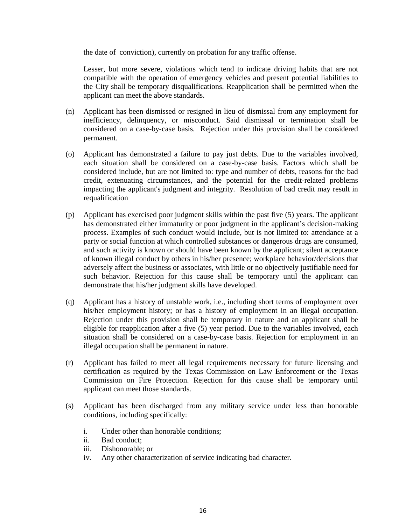the date of conviction), currently on probation for any traffic offense.

Lesser, but more severe, violations which tend to indicate driving habits that are not compatible with the operation of emergency vehicles and present potential liabilities to the City shall be temporary disqualifications. Reapplication shall be permitted when the applicant can meet the above standards.

- (n) Applicant has been dismissed or resigned in lieu of dismissal from any employment for inefficiency, delinquency, or misconduct. Said dismissal or termination shall be considered on a case-by-case basis. Rejection under this provision shall be considered permanent.
- (o) Applicant has demonstrated a failure to pay just debts. Due to the variables involved, each situation shall be considered on a case-by-case basis. Factors which shall be considered include, but are not limited to: type and number of debts, reasons for the bad credit, extenuating circumstances, and the potential for the credit-related problems impacting the applicant's judgment and integrity. Resolution of bad credit may result in requalification
- (p) Applicant has exercised poor judgment skills within the past five (5) years. The applicant has demonstrated either immaturity or poor judgment in the applicant's decision-making process. Examples of such conduct would include, but is not limited to: attendance at a party or social function at which controlled substances or dangerous drugs are consumed, and such activity is known or should have been known by the applicant; silent acceptance of known illegal conduct by others in his/her presence; workplace behavior/decisions that adversely affect the business or associates, with little or no objectively justifiable need for such behavior. Rejection for this cause shall be temporary until the applicant can demonstrate that his/her judgment skills have developed.
- (q) Applicant has a history of unstable work, i.e., including short terms of employment over his/her employment history; or has a history of employment in an illegal occupation. Rejection under this provision shall be temporary in nature and an applicant shall be eligible for reapplication after a five (5) year period. Due to the variables involved, each situation shall be considered on a case-by-case basis. Rejection for employment in an illegal occupation shall be permanent in nature.
- (r) Applicant has failed to meet all legal requirements necessary for future licensing and certification as required by the Texas Commission on Law Enforcement or the Texas Commission on Fire Protection. Rejection for this cause shall be temporary until applicant can meet those standards.
- (s) Applicant has been discharged from any military service under less than honorable conditions, including specifically:
	- i. Under other than honorable conditions;
	- ii. Bad conduct;
	- iii. Dishonorable; or
	- iv. Any other characterization of service indicating bad character.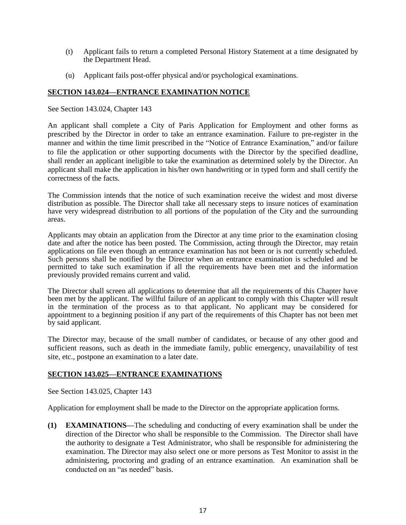- (t) Applicant fails to return a completed Personal History Statement at a time designated by the Department Head.
- (u) Applicant fails post-offer physical and/or psychological examinations.

## **SECTION 143.024—ENTRANCE EXAMINATION NOTICE**

See Section 143.024, Chapter 143

An applicant shall complete a City of Paris Application for Employment and other forms as prescribed by the Director in order to take an entrance examination. Failure to pre-register in the manner and within the time limit prescribed in the "Notice of Entrance Examination," and/or failure to file the application or other supporting documents with the Director by the specified deadline, shall render an applicant ineligible to take the examination as determined solely by the Director. An applicant shall make the application in his/her own handwriting or in typed form and shall certify the correctness of the facts.

The Commission intends that the notice of such examination receive the widest and most diverse distribution as possible. The Director shall take all necessary steps to insure notices of examination have very widespread distribution to all portions of the population of the City and the surrounding areas.

Applicants may obtain an application from the Director at any time prior to the examination closing date and after the notice has been posted. The Commission, acting through the Director, may retain applications on file even though an entrance examination has not been or is not currently scheduled. Such persons shall be notified by the Director when an entrance examination is scheduled and be permitted to take such examination if all the requirements have been met and the information previously provided remains current and valid.

The Director shall screen all applications to determine that all the requirements of this Chapter have been met by the applicant. The willful failure of an applicant to comply with this Chapter will result in the termination of the process as to that applicant. No applicant may be considered for appointment to a beginning position if any part of the requirements of this Chapter has not been met by said applicant.

The Director may, because of the small number of candidates, or because of any other good and sufficient reasons, such as death in the immediate family, public emergency, unavailability of test site, etc., postpone an examination to a later date.

## **SECTION 143.025—ENTRANCE EXAMINATIONS**

See Section 143.025, Chapter 143

Application for employment shall be made to the Director on the appropriate application forms.

**(1) EXAMINATIONS—**The scheduling and conducting of every examination shall be under the direction of the Director who shall be responsible to the Commission. The Director shall have the authority to designate a Test Administrator, who shall be responsible for administering the examination. The Director may also select one or more persons as Test Monitor to assist in the administering, proctoring and grading of an entrance examination. An examination shall be conducted on an "as needed" basis.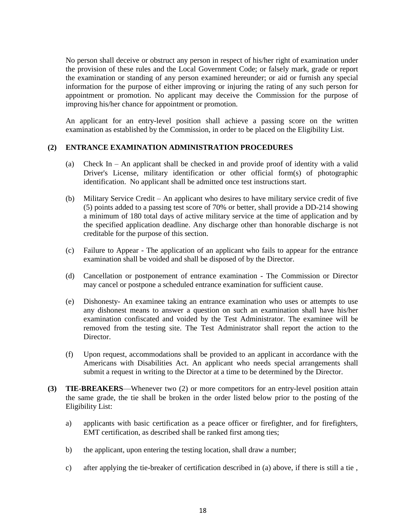No person shall deceive or obstruct any person in respect of his/her right of examination under the provision of these rules and the Local Government Code; or falsely mark, grade or report the examination or standing of any person examined hereunder; or aid or furnish any special information for the purpose of either improving or injuring the rating of any such person for appointment or promotion. No applicant may deceive the Commission for the purpose of improving his/her chance for appointment or promotion.

An applicant for an entry-level position shall achieve a passing score on the written examination as established by the Commission, in order to be placed on the Eligibility List.

## **(2) ENTRANCE EXAMINATION ADMINISTRATION PROCEDURES**

- (a) Check In An applicant shall be checked in and provide proof of identity with a valid Driver's License, military identification or other official form(s) of photographic identification. No applicant shall be admitted once test instructions start.
- (b) Military Service Credit An applicant who desires to have military service credit of five (5) points added to a passing test score of 70% or better, shall provide a DD-214 showing a minimum of 180 total days of active military service at the time of application and by the specified application deadline. Any discharge other than honorable discharge is not creditable for the purpose of this section.
- (c) Failure to Appear The application of an applicant who fails to appear for the entrance examination shall be voided and shall be disposed of by the Director.
- (d) Cancellation or postponement of entrance examination The Commission or Director may cancel or postpone a scheduled entrance examination for sufficient cause.
- (e) Dishonesty- An examinee taking an entrance examination who uses or attempts to use any dishonest means to answer a question on such an examination shall have his/her examination confiscated and voided by the Test Administrator. The examinee will be removed from the testing site. The Test Administrator shall report the action to the Director.
- (f) Upon request, accommodations shall be provided to an applicant in accordance with the Americans with Disabilities Act. An applicant who needs special arrangements shall submit a request in writing to the Director at a time to be determined by the Director.
- **(3) TIE-BREAKERS**—Whenever two (2) or more competitors for an entry-level position attain the same grade, the tie shall be broken in the order listed below prior to the posting of the Eligibility List:
	- a) applicants with basic certification as a peace officer or firefighter, and for firefighters, EMT certification, as described shall be ranked first among ties;
	- b) the applicant, upon entering the testing location, shall draw a number;
	- c) after applying the tie-breaker of certification described in (a) above, if there is still a tie ,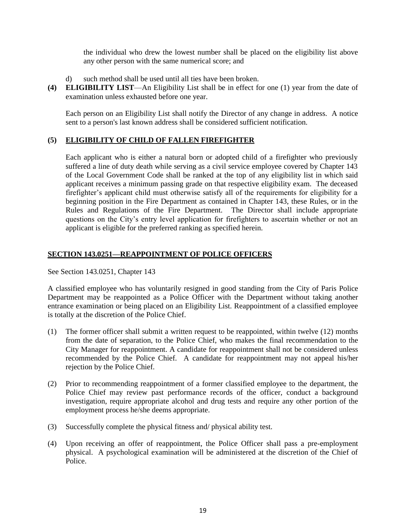the individual who drew the lowest number shall be placed on the eligibility list above any other person with the same numerical score; and

- d) such method shall be used until all ties have been broken*.*
- **(4) ELIGIBILITY LIST**—An Eligibility List shall be in effect for one (1) year from the date of examination unless exhausted before one year.

Each person on an Eligibility List shall notify the Director of any change in address. A notice sent to a person's last known address shall be considered sufficient notification.

## **(5) ELIGIBILITY OF CHILD OF FALLEN FIREFIGHTER**

Each applicant who is either a natural born or adopted child of a firefighter who previously suffered a line of duty death while serving as a civil service employee covered by Chapter 143 of the Local Government Code shall be ranked at the top of any eligibility list in which said applicant receives a minimum passing grade on that respective eligibility exam. The deceased firefighter's applicant child must otherwise satisfy all of the requirements for eligibility for a beginning position in the Fire Department as contained in Chapter 143, these Rules, or in the Rules and Regulations of the Fire Department. The Director shall include appropriate questions on the City's entry level application for firefighters to ascertain whether or not an applicant is eligible for the preferred ranking as specified herein.

## **SECTION 143.0251—REAPPOINTMENT OF POLICE OFFICERS**

See Section 143.0251, Chapter 143

A classified employee who has voluntarily resigned in good standing from the City of Paris Police Department may be reappointed as a Police Officer with the Department without taking another entrance examination or being placed on an Eligibility List. Reappointment of a classified employee is totally at the discretion of the Police Chief.

- (1) The former officer shall submit a written request to be reappointed, within twelve (12) months from the date of separation, to the Police Chief, who makes the final recommendation to the City Manager for reappointment. A candidate for reappointment shall not be considered unless recommended by the Police Chief. A candidate for reappointment may not appeal his/her rejection by the Police Chief.
- (2) Prior to recommending reappointment of a former classified employee to the department, the Police Chief may review past performance records of the officer, conduct a background investigation, require appropriate alcohol and drug tests and require any other portion of the employment process he/she deems appropriate.
- (3) Successfully complete the physical fitness and/ physical ability test.
- (4) Upon receiving an offer of reappointment, the Police Officer shall pass a pre-employment physical. A psychological examination will be administered at the discretion of the Chief of Police.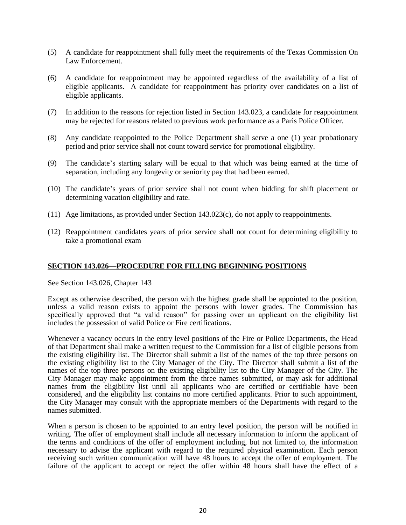- (5) A candidate for reappointment shall fully meet the requirements of the Texas Commission On Law Enforcement.
- (6) A candidate for reappointment may be appointed regardless of the availability of a list of eligible applicants. A candidate for reappointment has priority over candidates on a list of eligible applicants.
- (7) In addition to the reasons for rejection listed in Section 143.023, a candidate for reappointment may be rejected for reasons related to previous work performance as a Paris Police Officer.
- (8) Any candidate reappointed to the Police Department shall serve a one (1) year probationary period and prior service shall not count toward service for promotional eligibility.
- (9) The candidate's starting salary will be equal to that which was being earned at the time of separation, including any longevity or seniority pay that had been earned.
- (10) The candidate's years of prior service shall not count when bidding for shift placement or determining vacation eligibility and rate.
- (11) Age limitations, as provided under Section 143.023(c), do not apply to reappointments.
- (12) Reappointment candidates years of prior service shall not count for determining eligibility to take a promotional exam

#### **SECTION 143.026—PROCEDURE FOR FILLING BEGINNING POSITIONS**

See Section 143.026, Chapter 143

Except as otherwise described, the person with the highest grade shall be appointed to the position, unless a valid reason exists to appoint the persons with lower grades. The Commission has specifically approved that "a valid reason" for passing over an applicant on the eligibility list includes the possession of valid Police or Fire certifications.

Whenever a vacancy occurs in the entry level positions of the Fire or Police Departments, the Head of that Department shall make a written request to the Commission for a list of eligible persons from the existing eligibility list. The Director shall submit a list of the names of the top three persons on the existing eligibility list to the City Manager of the City. The Director shall submit a list of the names of the top three persons on the existing eligibility list to the City Manager of the City. The City Manager may make appointment from the three names submitted, or may ask for additional names from the eligibility list until all applicants who are certified or certifiable have been considered, and the eligibility list contains no more certified applicants. Prior to such appointment, the City Manager may consult with the appropriate members of the Departments with regard to the names submitted.

When a person is chosen to be appointed to an entry level position, the person will be notified in writing. The offer of employment shall include all necessary information to inform the applicant of the terms and conditions of the offer of employment including, but not limited to, the information necessary to advise the applicant with regard to the required physical examination. Each person receiving such written communication will have 48 hours to accept the offer of employment. The failure of the applicant to accept or reject the offer within 48 hours shall have the effect of a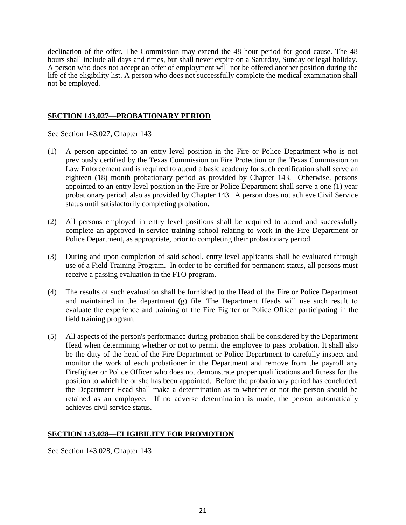declination of the offer. The Commission may extend the 48 hour period for good cause. The 48 hours shall include all days and times, but shall never expire on a Saturday, Sunday or legal holiday. A person who does not accept an offer of employment will not be offered another position during the life of the eligibility list. A person who does not successfully complete the medical examination shall not be employed*.*

## **SECTION 143.027—PROBATIONARY PERIOD**

See Section 143.027, Chapter 143

- (1) A person appointed to an entry level position in the Fire or Police Department who is not previously certified by the Texas Commission on Fire Protection or the Texas Commission on Law Enforcement and is required to attend a basic academy for such certification shall serve an eighteen (18) month probationary period as provided by Chapter 143. Otherwise, persons appointed to an entry level position in the Fire or Police Department shall serve a one (1) year probationary period, also as provided by Chapter 143. A person does not achieve Civil Service status until satisfactorily completing probation.
- (2) All persons employed in entry level positions shall be required to attend and successfully complete an approved in-service training school relating to work in the Fire Department or Police Department, as appropriate, prior to completing their probationary period.
- (3) During and upon completion of said school, entry level applicants shall be evaluated through use of a Field Training Program. In order to be certified for permanent status, all persons must receive a passing evaluation in the FTO program.
- (4) The results of such evaluation shall be furnished to the Head of the Fire or Police Department and maintained in the department (g) file. The Department Heads will use such result to evaluate the experience and training of the Fire Fighter or Police Officer participating in the field training program.
- (5) All aspects of the person's performance during probation shall be considered by the Department Head when determining whether or not to permit the employee to pass probation*.* It shall also be the duty of the head of the Fire Department or Police Department to carefully inspect and monitor the work of each probationer in the Department and remove from the payroll any Firefighter or Police Officer who does not demonstrate proper qualifications and fitness for the position to which he or she has been appointed. Before the probationary period has concluded, the Department Head shall make a determination as to whether or not the person should be retained as an employee. If no adverse determination is made, the person automatically achieves civil service status.

## **SECTION 143.028—ELIGIBILITY FOR PROMOTION**

See Section 143.028, Chapter 143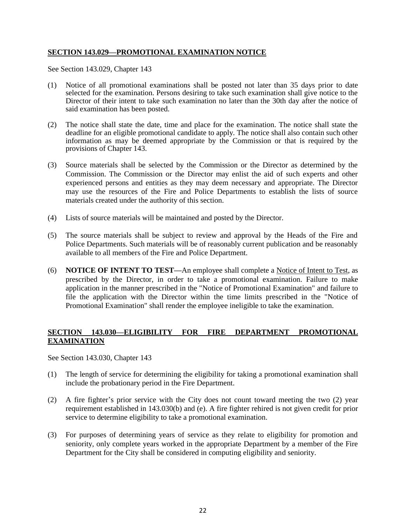## **SECTION 143.029—PROMOTIONAL EXAMINATION NOTICE**

See Section 143.029, Chapter 143

- (1) Notice of all promotional examinations shall be posted not later than 35 days prior to date selected for the examination. Persons desiring to take such examination shall give notice to the Director of their intent to take such examination no later than the 30th day after the notice of said examination has been posted.
- (2) The notice shall state the date, time and place for the examination. The notice shall state the deadline for an eligible promotional candidate to apply. The notice shall also contain such other information as may be deemed appropriate by the Commission or that is required by the provisions of Chapter 143.
- (3) Source materials shall be selected by the Commission or the Director as determined by the Commission. The Commission or the Director may enlist the aid of such experts and other experienced persons and entities as they may deem necessary and appropriate. The Director may use the resources of the Fire and Police Departments to establish the lists of source materials created under the authority of this section.
- (4) Lists of source materials will be maintained and posted by the Director.
- (5) The source materials shall be subject to review and approval by the Heads of the Fire and Police Departments. Such materials will be of reasonably current publication and be reasonably available to all members of the Fire and Police Department.
- (6) **NOTICE OF INTENT TO TEST—**An employee shall complete a Notice of Intent to Test, as prescribed by the Director, in order to take a promotional examination. Failure to make application in the manner prescribed in the "Notice of Promotional Examination" and failure to file the application with the Director within the time limits prescribed in the "Notice of Promotional Examination" shall render the employee ineligible to take the examination.

## **SECTION 143.030—ELIGIBILITY FOR FIRE DEPARTMENT PROMOTIONAL EXAMINATION**

See Section 143.030, Chapter 143

- (1) The length of service for determining the eligibility for taking a promotional examination shall include the probationary period in the Fire Department.
- (2) A fire fighter's prior service with the City does not count toward meeting the two (2) year requirement established in 143.030(b) and (e). A fire fighter rehired is not given credit for prior service to determine eligibility to take a promotional examination.
- (3) For purposes of determining years of service as they relate to eligibility for promotion and seniority, only complete years worked in the appropriate Department by a member of the Fire Department for the City shall be considered in computing eligibility and seniority.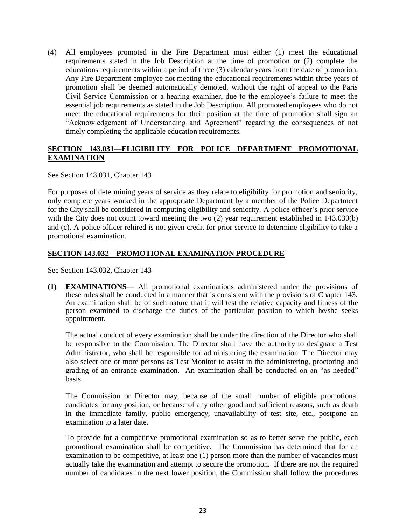(4) All employees promoted in the Fire Department must either (1) meet the educational requirements stated in the Job Description at the time of promotion or (2) complete the educations requirements within a period of three (3) calendar years from the date of promotion. Any Fire Department employee not meeting the educational requirements within three years of promotion shall be deemed automatically demoted, without the right of appeal to the Paris Civil Service Commission or a hearing examiner, due to the employee's failure to meet the essential job requirements as stated in the Job Description. All promoted employees who do not meet the educational requirements for their position at the time of promotion shall sign an "Acknowledgement of Understanding and Agreement" regarding the consequences of not timely completing the applicable education requirements.

## **SECTION 143.031—ELIGIBILITY FOR POLICE DEPARTMENT PROMOTIONAL EXAMINATION**

See Section 143.031, Chapter 143

For purposes of determining years of service as they relate to eligibility for promotion and seniority, only complete years worked in the appropriate Department by a member of the Police Department for the City shall be considered in computing eligibility and seniority. A police officer's prior service with the City does not count toward meeting the two (2) year requirement established in 143.030(b) and (c). A police officer rehired is not given credit for prior service to determine eligibility to take a promotional examination.

## **SECTION 143.032—PROMOTIONAL EXAMINATION PROCEDURE**

See Section 143.032, Chapter 143

**(1) EXAMINATIONS**— All promotional examinations administered under the provisions of these rules shall be conducted in a manner that is consistent with the provisions of Chapter 143. An examination shall be of such nature that it will test the relative capacity and fitness of the person examined to discharge the duties of the particular position to which he/she seeks appointment.

The actual conduct of every examination shall be under the direction of the Director who shall be responsible to the Commission. The Director shall have the authority to designate a Test Administrator, who shall be responsible for administering the examination. The Director may also select one or more persons as Test Monitor to assist in the administering, proctoring and grading of an entrance examination. An examination shall be conducted on an "as needed" basis.

The Commission or Director may, because of the small number of eligible promotional candidates for any position, or because of any other good and sufficient reasons, such as death in the immediate family, public emergency, unavailability of test site, etc., postpone an examination to a later date.

To provide for a competitive promotional examination so as to better serve the public, each promotional examination shall be competitive. The Commission has determined that for an examination to be competitive, at least one (1) person more than the number of vacancies must actually take the examination and attempt to secure the promotion. If there are not the required number of candidates in the next lower position, the Commission shall follow the procedures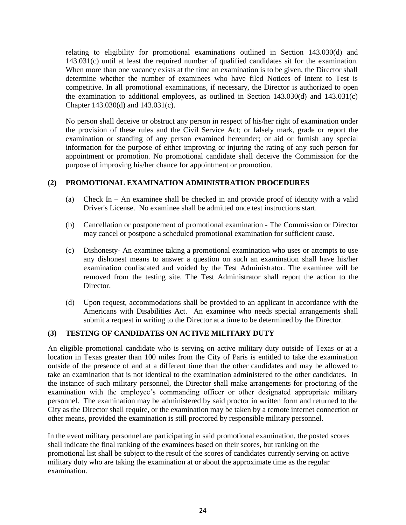relating to eligibility for promotional examinations outlined in Section 143.030(d) and 143.031(c) until at least the required number of qualified candidates sit for the examination. When more than one vacancy exists at the time an examination is to be given, the Director shall determine whether the number of examinees who have filed Notices of Intent to Test is competitive. In all promotional examinations, if necessary, the Director is authorized to open the examination to additional employees, as outlined in Section 143.030(d) and 143.031(c) Chapter 143.030(d) and 143.031(c).

No person shall deceive or obstruct any person in respect of his/her right of examination under the provision of these rules and the Civil Service Act; or falsely mark, grade or report the examination or standing of any person examined hereunder; or aid or furnish any special information for the purpose of either improving or injuring the rating of any such person for appointment or promotion. No promotional candidate shall deceive the Commission for the purpose of improving his/her chance for appointment or promotion.

## **(2) PROMOTIONAL EXAMINATION ADMINISTRATION PROCEDURES**

- (a) Check In An examinee shall be checked in and provide proof of identity with a valid Driver's License. No examinee shall be admitted once test instructions start.
- (b) Cancellation or postponement of promotional examination The Commission or Director may cancel or postpone a scheduled promotional examination for sufficient cause.
- (c) Dishonesty- An examinee taking a promotional examination who uses or attempts to use any dishonest means to answer a question on such an examination shall have his/her examination confiscated and voided by the Test Administrator. The examinee will be removed from the testing site. The Test Administrator shall report the action to the Director.
- (d) Upon request, accommodations shall be provided to an applicant in accordance with the Americans with Disabilities Act. An examinee who needs special arrangements shall submit a request in writing to the Director at a time to be determined by the Director.

## **(3) TESTING OF CANDIDATES ON ACTIVE MILITARY DUTY**

An eligible promotional candidate who is serving on active military duty outside of Texas or at a location in Texas greater than 100 miles from the City of Paris is entitled to take the examination outside of the presence of and at a different time than the other candidates and may be allowed to take an examination that is not identical to the examination administered to the other candidates. In the instance of such military personnel, the Director shall make arrangements for proctoring of the examination with the employee's commanding officer or other designated appropriate military personnel. The examination may be administered by said proctor in written form and returned to the City as the Director shall require, or the examination may be taken by a remote internet connection or other means, provided the examination is still proctored by responsible military personnel.

In the event military personnel are participating in said promotional examination, the posted scores shall indicate the final ranking of the examinees based on their scores, but ranking on the promotional list shall be subject to the result of the scores of candidates currently serving on active military duty who are taking the examination at or about the approximate time as the regular examination.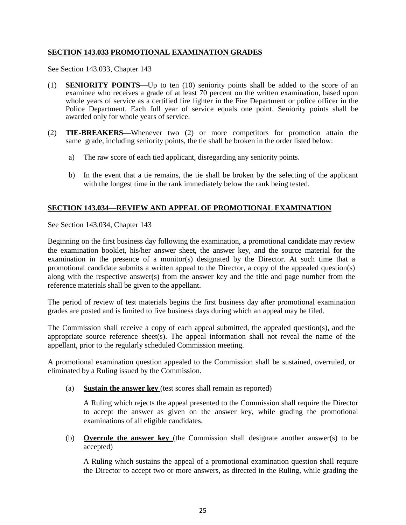## **SECTION 143.033 PROMOTIONAL EXAMINATION GRADES**

See Section 143.033, Chapter 143

- (1) **SENIORITY POINTS—**Up to ten (10) seniority points shall be added to the score of an examinee who receives a grade of at least 70 percent on the written examination, based upon whole years of service as a certified fire fighter in the Fire Department or police officer in the Police Department. Each full year of service equals one point. Seniority points shall be awarded only for whole years of service.
- (2) **TIE-BREAKERS—**Whenever two (2) or more competitors for promotion attain the same grade, including seniority points, the tie shall be broken in the order listed below:
	- a) The raw score of each tied applicant, disregarding any seniority points.
	- b) In the event that a tie remains, the tie shall be broken by the selecting of the applicant with the longest time in the rank immediately below the rank being tested.

## **SECTION 143.034—REVIEW AND APPEAL OF PROMOTIONAL EXAMINATION**

See Section 143.034, Chapter 143

Beginning on the first business day following the examination, a promotional candidate may review the examination booklet, his/her answer sheet, the answer key, and the source material for the examination in the presence of a monitor(s) designated by the Director. At such time that a promotional candidate submits a written appeal to the Director, a copy of the appealed question(s) along with the respective answer(s) from the answer key and the title and page number from the reference materials shall be given to the appellant.

The period of review of test materials begins the first business day after promotional examination grades are posted and is limited to five business days during which an appeal may be filed.

The Commission shall receive a copy of each appeal submitted, the appealed question(s), and the appropriate source reference sheet(s). The appeal information shall not reveal the name of the appellant, prior to the regularly scheduled Commission meeting.

A promotional examination question appealed to the Commission shall be sustained, overruled, or eliminated by a Ruling issued by the Commission.

(a) **Sustain the answer key** (test scores shall remain as reported)

A Ruling which rejects the appeal presented to the Commission shall require the Director to accept the answer as given on the answer key, while grading the promotional examinations of all eligible candidates.

(b) **Overrule the answer key** (the Commission shall designate another answer(s) to be accepted)

A Ruling which sustains the appeal of a promotional examination question shall require the Director to accept two or more answers, as directed in the Ruling, while grading the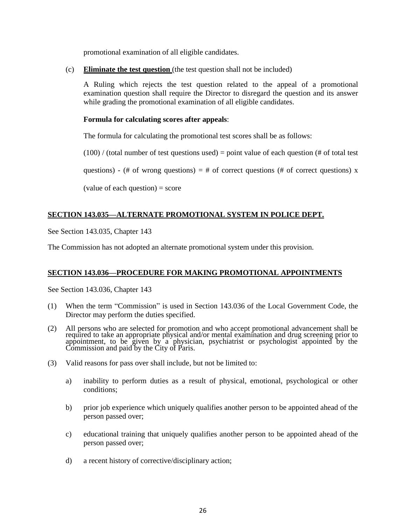promotional examination of all eligible candidates.

(c) **Eliminate the test question** (the test question shall not be included)

A Ruling which rejects the test question related to the appeal of a promotional examination question shall require the Director to disregard the question and its answer while grading the promotional examination of all eligible candidates.

#### **Formula for calculating scores after appeals**:

The formula for calculating the promotional test scores shall be as follows:

 $(100)$  / (total number of test questions used) = point value of each question (# of total test

questions) - (# of wrong questions) = # of correct questions (# of correct questions) x

 $\text{(value of each question)} = \text{score}$ 

## **SECTION 143.035—ALTERNATE PROMOTIONAL SYSTEM IN POLICE DEPT.**

See Section 143.035, Chapter 143

The Commission has not adopted an alternate promotional system under this provision.

## **SECTION 143.036—PROCEDURE FOR MAKING PROMOTIONAL APPOINTMENTS**

See Section 143.036, Chapter 143

- (1) When the term "Commission" is used in Section 143.036 of the Local Government Code, the Director may perform the duties specified.
- (2) All persons who are selected for promotion and who accept promotional advancement shall be required to take an appropriate physical and/or mental examination and drug screening prior to appointment, to be given by a physician, psychiatrist or psychologist appointed by the Commission and paid by the City of Paris.
- (3) Valid reasons for pass over shall include, but not be limited to:
	- a) inability to perform duties as a result of physical, emotional, psychological or other conditions;
	- b) prior job experience which uniquely qualifies another person to be appointed ahead of the person passed over;
	- c) educational training that uniquely qualifies another person to be appointed ahead of the person passed over;
	- d) a recent history of corrective/disciplinary action;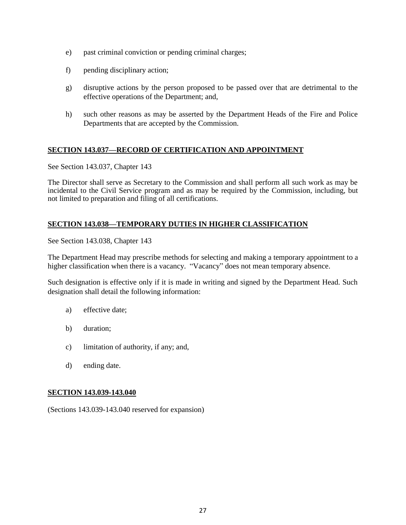- e) past criminal conviction or pending criminal charges;
- f) pending disciplinary action;
- g) disruptive actions by the person proposed to be passed over that are detrimental to the effective operations of the Department; and,
- h) such other reasons as may be asserted by the Department Heads of the Fire and Police Departments that are accepted by the Commission.

## **SECTION 143.037—RECORD OF CERTIFICATION AND APPOINTMENT**

See Section 143.037, Chapter 143

The Director shall serve as Secretary to the Commission and shall perform all such work as may be incidental to the Civil Service program and as may be required by the Commission, including, but not limited to preparation and filing of all certifications.

## **SECTION 143.038—TEMPORARY DUTIES IN HIGHER CLASSIFICATION**

See Section 143.038, Chapter 143

The Department Head may prescribe methods for selecting and making a temporary appointment to a higher classification when there is a vacancy. "Vacancy" does not mean temporary absence.

Such designation is effective only if it is made in writing and signed by the Department Head. Such designation shall detail the following information:

- a) effective date;
- b) duration;
- c) limitation of authority, if any; and,
- d) ending date.

## **SECTION 143.039-143.040**

(Sections 143.039-143.040 reserved for expansion)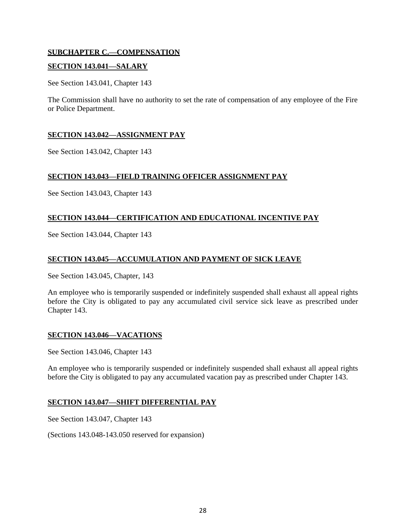## **SUBCHAPTER C.—COMPENSATION**

## **SECTION 143.041—SALARY**

See Section 143.041, Chapter 143

The Commission shall have no authority to set the rate of compensation of any employee of the Fire or Police Department.

#### **SECTION 143.042—ASSIGNMENT PAY**

See Section 143.042, Chapter 143

#### **SECTION 143.043—FIELD TRAINING OFFICER ASSIGNMENT PAY**

See Section 143.043, Chapter 143

## **SECTION 143.044—CERTIFICATION AND EDUCATIONAL INCENTIVE PAY**

See Section 143.044, Chapter 143

## **SECTION 143.045—ACCUMULATION AND PAYMENT OF SICK LEAVE**

See Section 143.045, Chapter, 143

An employee who is temporarily suspended or indefinitely suspended shall exhaust all appeal rights before the City is obligated to pay any accumulated civil service sick leave as prescribed under Chapter 143.

## **SECTION 143.046—VACATIONS**

See Section 143.046, Chapter 143

An employee who is temporarily suspended or indefinitely suspended shall exhaust all appeal rights before the City is obligated to pay any accumulated vacation pay as prescribed under Chapter 143.

#### **SECTION 143.047—SHIFT DIFFERENTIAL PAY**

See Section 143.047, Chapter 143

(Sections 143.048-143.050 reserved for expansion)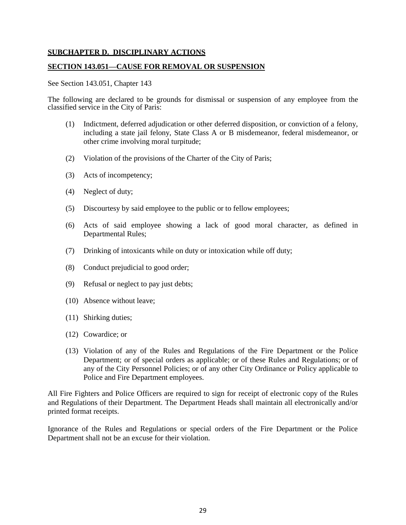#### **SUBCHAPTER D. DISCIPLINARY ACTIONS**

#### **SECTION 143.051—CAUSE FOR REMOVAL OR SUSPENSION**

#### See Section 143.051, Chapter 143

The following are declared to be grounds for dismissal or suspension of any employee from the classified service in the City of Paris:

- (1) Indictment, deferred adjudication or other deferred disposition, or conviction of a felony, including a state jail felony, State Class A or B misdemeanor, federal misdemeanor, or other crime involving moral turpitude;
- (2) Violation of the provisions of the Charter of the City of Paris;
- (3) Acts of incompetency;
- (4) Neglect of duty;
- (5) Discourtesy by said employee to the public or to fellow employees;
- (6) Acts of said employee showing a lack of good moral character, as defined in Departmental Rules;
- (7) Drinking of intoxicants while on duty or intoxication while off duty;
- (8) Conduct prejudicial to good order;
- (9) Refusal or neglect to pay just debts;
- (10) Absence without leave;
- (11) Shirking duties;
- (12) Cowardice; or
- (13) Violation of any of the Rules and Regulations of the Fire Department or the Police Department; or of special orders as applicable; or of these Rules and Regulations; or of any of the City Personnel Policies; or of any other City Ordinance or Policy applicable to Police and Fire Department employees.

All Fire Fighters and Police Officers are required to sign for receipt of electronic copy of the Rules and Regulations of their Department. The Department Heads shall maintain all electronically and/or printed format receipts.

Ignorance of the Rules and Regulations or special orders of the Fire Department or the Police Department shall not be an excuse for their violation.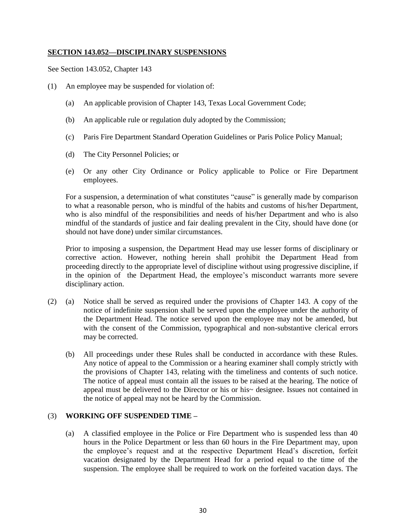## **SECTION 143.052—DISCIPLINARY SUSPENSIONS**

See Section 143.052, Chapter 143

- (1) An employee may be suspended for violation of:
	- (a) An applicable provision of Chapter 143, Texas Local Government Code;
	- (b) An applicable rule or regulation duly adopted by the Commission;
	- (c) Paris Fire Department Standard Operation Guidelines or Paris Police Policy Manual;
	- (d) The City Personnel Policies; or
	- (e) Or any other City Ordinance or Policy applicable to Police or Fire Department employees.

For a suspension, a determination of what constitutes "cause" is generally made by comparison to what a reasonable person, who is mindful of the habits and customs of his/her Department, who is also mindful of the responsibilities and needs of his/her Department and who is also mindful of the standards of justice and fair dealing prevalent in the City, should have done (or should not have done) under similar circumstances.

Prior to imposing a suspension, the Department Head may use lesser forms of disciplinary or corrective action. However, nothing herein shall prohibit the Department Head from proceeding directly to the appropriate level of discipline without using progressive discipline, if in the opinion of the Department Head, the employee's misconduct warrants more severe disciplinary action.

- (2) (a) Notice shall be served as required under the provisions of Chapter 143. A copy of the notice of indefinite suspension shall be served upon the employee under the authority of the Department Head. The notice served upon the employee may not be amended, but with the consent of the Commission, typographical and non-substantive clerical errors may be corrected.
	- (b) All proceedings under these Rules shall be conducted in accordance with these Rules. Any notice of appeal to the Commission or a hearing examiner shall comply strictly with the provisions of Chapter 143, relating with the timeliness and contents of such notice. The notice of appeal must contain all the issues to be raised at the hearing. The notice of appeal must be delivered to the Director or his or his~ designee. Issues not contained in the notice of appeal may not be heard by the Commission.

## (3) **WORKING OFF SUSPENDED TIME –**

(a) A classified employee in the Police or Fire Department who is suspended less than 40 hours in the Police Department or less than 60 hours in the Fire Department may, upon the employee's request and at the respective Department Head's discretion, forfeit vacation designated by the Department Head for a period equal to the time of the suspension. The employee shall be required to work on the forfeited vacation days. The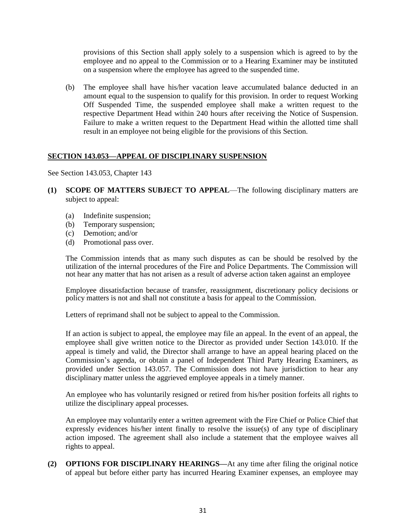provisions of this Section shall apply solely to a suspension which is agreed to by the employee and no appeal to the Commission or to a Hearing Examiner may be instituted on a suspension where the employee has agreed to the suspended time.

(b) The employee shall have his/her vacation leave accumulated balance deducted in an amount equal to the suspension to qualify for this provision. In order to request Working Off Suspended Time, the suspended employee shall make a written request to the respective Department Head within 240 hours after receiving the Notice of Suspension. Failure to make a written request to the Department Head within the allotted time shall result in an employee not being eligible for the provisions of this Section.

## **SECTION 143.053—APPEAL OF DISCIPLINARY SUSPENSION**

See Section 143.053, Chapter 143

- **(1) SCOPE OF MATTERS SUBJECT TO APPEAL**—The following disciplinary matters are subject to appeal:
	- (a) Indefinite suspension;
	- (b) Temporary suspension;
	- (c) Demotion; and/or
	- (d) Promotional pass over.

The Commission intends that as many such disputes as can be should be resolved by the utilization of the internal procedures of the Fire and Police Departments. The Commission will not hear any matter that has not arisen as a result of adverse action taken against an employee

Employee dissatisfaction because of transfer, reassignment, discretionary policy decisions or policy matters is not and shall not constitute a basis for appeal to the Commission.

Letters of reprimand shall not be subject to appeal to the Commission.

If an action is subject to appeal, the employee may file an appeal. In the event of an appeal, the employee shall give written notice to the Director as provided under Section 143.010. If the appeal is timely and valid, the Director shall arrange to have an appeal hearing placed on the Commission's agenda, or obtain a panel of Independent Third Party Hearing Examiners, as provided under Section 143.057. The Commission does not have jurisdiction to hear any disciplinary matter unless the aggrieved employee appeals in a timely manner.

An employee who has voluntarily resigned or retired from his/her position forfeits all rights to utilize the disciplinary appeal processes.

An employee may voluntarily enter a written agreement with the Fire Chief or Police Chief that expressly evidences his/her intent finally to resolve the issue(s) of any type of disciplinary action imposed. The agreement shall also include a statement that the employee waives all rights to appeal.

**(2) OPTIONS FOR DISCIPLINARY HEARINGS—**At any time after filing the original notice of appeal but before either party has incurred Hearing Examiner expenses, an employee may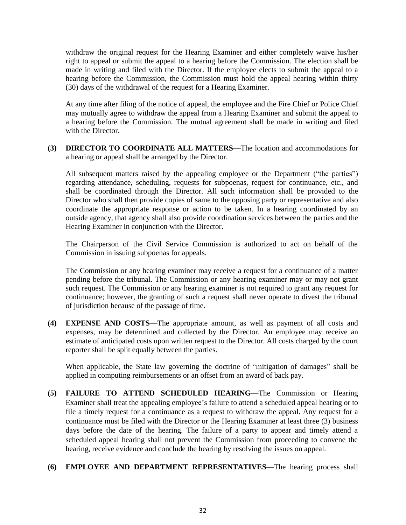withdraw the original request for the Hearing Examiner and either completely waive his/her right to appeal or submit the appeal to a hearing before the Commission. The election shall be made in writing and filed with the Director. If the employee elects to submit the appeal to a hearing before the Commission, the Commission must hold the appeal hearing within thirty (30) days of the withdrawal of the request for a Hearing Examiner.

At any time after filing of the notice of appeal, the employee and the Fire Chief or Police Chief may mutually agree to withdraw the appeal from a Hearing Examiner and submit the appeal to a hearing before the Commission. The mutual agreement shall be made in writing and filed with the Director.

**(3) DIRECTOR TO COORDINATE ALL MATTERS—**The location and accommodations for a hearing or appeal shall be arranged by the Director.

All subsequent matters raised by the appealing employee or the Department ("the parties") regarding attendance, scheduling, requests for subpoenas, request for continuance, etc., and shall be coordinated through the Director. All such information shall be provided to the Director who shall then provide copies of same to the opposing party or representative and also coordinate the appropriate response or action to be taken. In a hearing coordinated by an outside agency, that agency shall also provide coordination services between the parties and the Hearing Examiner in conjunction with the Director.

The Chairperson of the Civil Service Commission is authorized to act on behalf of the Commission in issuing subpoenas for appeals.

The Commission or any hearing examiner may receive a request for a continuance of a matter pending before the tribunal. The Commission or any hearing examiner may or may not grant such request. The Commission or any hearing examiner is not required to grant any request for continuance; however, the granting of such a request shall never operate to divest the tribunal of jurisdiction because of the passage of time.

**(4) EXPENSE AND COSTS—**The appropriate amount, as well as payment of all costs and expenses, may be determined and collected by the Director. An employee may receive an estimate of anticipated costs upon written request to the Director. All costs charged by the court reporter shall be split equally between the parties.

When applicable, the State law governing the doctrine of "mitigation of damages" shall be applied in computing reimbursements or an offset from an award of back pay.

**(5) FAILURE TO ATTEND SCHEDULED HEARING—**The Commission or Hearing Examiner shall treat the appealing employee's failure to attend a scheduled appeal hearing or to file a timely request for a continuance as a request to withdraw the appeal. Any request for a continuance must be filed with the Director or the Hearing Examiner at least three (3) business days before the date of the hearing. The failure of a party to appear and timely attend a scheduled appeal hearing shall not prevent the Commission from proceeding to convene the hearing, receive evidence and conclude the hearing by resolving the issues on appeal.

## **(6) EMPLOYEE AND DEPARTMENT REPRESENTATIVES—**The hearing process shall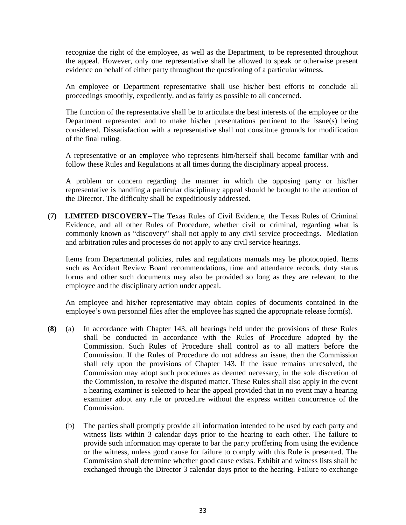recognize the right of the employee, as well as the Department, to be represented throughout the appeal. However, only one representative shall be allowed to speak or otherwise present evidence on behalf of either party throughout the questioning of a particular witness.

An employee or Department representative shall use his/her best efforts to conclude all proceedings smoothly, expediently, and as fairly as possible to all concerned.

The function of the representative shall be to articulate the best interests of the employee or the Department represented and to make his/her presentations pertinent to the issue(s) being considered. Dissatisfaction with a representative shall not constitute grounds for modification of the final ruling.

A representative or an employee who represents him/herself shall become familiar with and follow these Rules and Regulations at all times during the disciplinary appeal process.

A problem or concern regarding the manner in which the opposing party or his/her representative is handling a particular disciplinary appeal should be brought to the attention of the Director. The difficulty shall be expeditiously addressed.

**(7) LIMITED DISCOVERY--**The Texas Rules of Civil Evidence, the Texas Rules of Criminal Evidence, and all other Rules of Procedure, whether civil or criminal, regarding what is commonly known as "discovery" shall not apply to any civil service proceedings. Mediation and arbitration rules and processes do not apply to any civil service hearings.

Items from Departmental policies, rules and regulations manuals may be photocopied. Items such as Accident Review Board recommendations, time and attendance records, duty status forms and other such documents may also be provided so long as they are relevant to the employee and the disciplinary action under appeal.

An employee and his/her representative may obtain copies of documents contained in the employee's own personnel files after the employee has signed the appropriate release form(s).

- **(8)** (a) In accordance with Chapter 143, all hearings held under the provisions of these Rules shall be conducted in accordance with the Rules of Procedure adopted by the Commission. Such Rules of Procedure shall control as to all matters before the Commission. If the Rules of Procedure do not address an issue, then the Commission shall rely upon the provisions of Chapter 143. If the issue remains unresolved, the Commission may adopt such procedures as deemed necessary, in the sole discretion of the Commission, to resolve the disputed matter. These Rules shall also apply in the event a hearing examiner is selected to hear the appeal provided that in no event may a hearing examiner adopt any rule or procedure without the express written concurrence of the Commission.
	- (b) The parties shall promptly provide all information intended to be used by each party and witness lists within 3 calendar days prior to the hearing to each other. The failure to provide such information may operate to bar the party proffering from using the evidence or the witness, unless good cause for failure to comply with this Rule is presented. The Commission shall determine whether good cause exists. Exhibit and witness lists shall be exchanged through the Director 3 calendar days prior to the hearing. Failure to exchange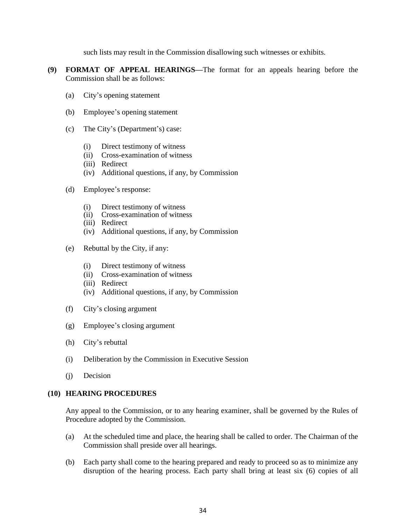such lists may result in the Commission disallowing such witnesses or exhibits.

- **(9) FORMAT OF APPEAL HEARINGS—**The format for an appeals hearing before the Commission shall be as follows:
	- (a) City's opening statement
	- (b) Employee's opening statement
	- (c) The City's (Department's) case:
		- (i) Direct testimony of witness
		- (ii) Cross-examination of witness
		- (iii) Redirect
		- (iv) Additional questions, if any, by Commission
	- (d) Employee's response:
		- (i) Direct testimony of witness
		- (ii) Cross-examination of witness
		- (iii) Redirect
		- (iv) Additional questions, if any, by Commission
	- (e) Rebuttal by the City, if any:
		- (i) Direct testimony of witness
		- (ii) Cross-examination of witness
		- (iii) Redirect
		- (iv) Additional questions, if any, by Commission
	- (f) City's closing argument
	- (g) Employee's closing argument
	- (h) City's rebuttal
	- (i) Deliberation by the Commission in Executive Session
	- (j) Decision

#### **(10) HEARING PROCEDURES**

Any appeal to the Commission, or to any hearing examiner, shall be governed by the Rules of Procedure adopted by the Commission.

- (a) At the scheduled time and place, the hearing shall be called to order. The Chairman of the Commission shall preside over all hearings.
- (b) Each party shall come to the hearing prepared and ready to proceed so as to minimize any disruption of the hearing process. Each party shall bring at least six (6) copies of all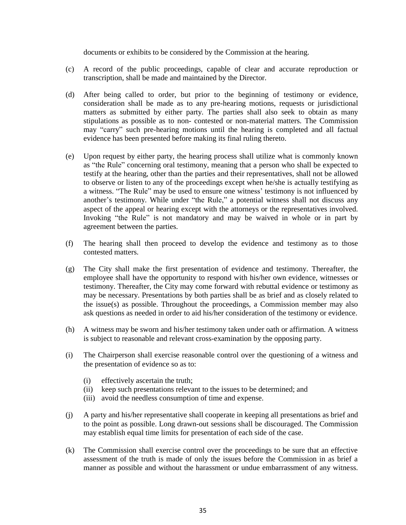documents or exhibits to be considered by the Commission at the hearing.

- (c) A record of the public proceedings, capable of clear and accurate reproduction or transcription, shall be made and maintained by the Director.
- (d) After being called to order, but prior to the beginning of testimony or evidence, consideration shall be made as to any pre-hearing motions, requests or jurisdictional matters as submitted by either party. The parties shall also seek to obtain as many stipulations as possible as to non- contested or non-material matters. The Commission may "carry" such pre-hearing motions until the hearing is completed and all factual evidence has been presented before making its final ruling thereto.
- (e) Upon request by either party, the hearing process shall utilize what is commonly known as "the Rule" concerning oral testimony, meaning that a person who shall be expected to testify at the hearing, other than the parties and their representatives, shall not be allowed to observe or listen to any of the proceedings except when he/she is actually testifying as a witness. "The Rule" may be used to ensure one witness' testimony is not influenced by another's testimony. While under "the Rule," a potential witness shall not discuss any aspect of the appeal or hearing except with the attorneys or the representatives involved. Invoking "the Rule" is not mandatory and may be waived in whole or in part by agreement between the parties.
- (f) The hearing shall then proceed to develop the evidence and testimony as to those contested matters.
- (g) The City shall make the first presentation of evidence and testimony. Thereafter, the employee shall have the opportunity to respond with his/her own evidence, witnesses or testimony. Thereafter, the City may come forward with rebuttal evidence or testimony as may be necessary. Presentations by both parties shall be as brief and as closely related to the issue(s) as possible. Throughout the proceedings, a Commission member may also ask questions as needed in order to aid his/her consideration of the testimony or evidence.
- (h) A witness may be sworn and his/her testimony taken under oath or affirmation. A witness is subject to reasonable and relevant cross-examination by the opposing party.
- (i) The Chairperson shall exercise reasonable control over the questioning of a witness and the presentation of evidence so as to:
	- (i) effectively ascertain the truth;
	- (ii) keep such presentations relevant to the issues to be determined; and
	- (iii) avoid the needless consumption of time and expense.
- (j) A party and his/her representative shall cooperate in keeping all presentations as brief and to the point as possible. Long drawn-out sessions shall be discouraged. The Commission may establish equal time limits for presentation of each side of the case.
- (k) The Commission shall exercise control over the proceedings to be sure that an effective assessment of the truth is made of only the issues before the Commission in as brief a manner as possible and without the harassment or undue embarrassment of any witness.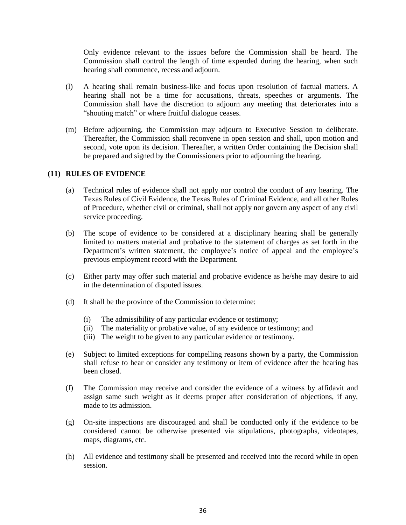Only evidence relevant to the issues before the Commission shall be heard. The Commission shall control the length of time expended during the hearing, when such hearing shall commence, recess and adjourn.

- (l) A hearing shall remain business-like and focus upon resolution of factual matters. A hearing shall not be a time for accusations, threats, speeches or arguments. The Commission shall have the discretion to adjourn any meeting that deteriorates into a "shouting match" or where fruitful dialogue ceases.
- (m) Before adjourning, the Commission may adjourn to Executive Session to deliberate. Thereafter, the Commission shall reconvene in open session and shall, upon motion and second, vote upon its decision. Thereafter, a written Order containing the Decision shall be prepared and signed by the Commissioners prior to adjourning the hearing.

#### **(11) RULES OF EVIDENCE**

- (a) Technical rules of evidence shall not apply nor control the conduct of any hearing. The Texas Rules of Civil Evidence, the Texas Rules of Criminal Evidence, and all other Rules of Procedure, whether civil or criminal, shall not apply nor govern any aspect of any civil service proceeding.
- (b) The scope of evidence to be considered at a disciplinary hearing shall be generally limited to matters material and probative to the statement of charges as set forth in the Department's written statement, the employee's notice of appeal and the employee's previous employment record with the Department.
- (c) Either party may offer such material and probative evidence as he/she may desire to aid in the determination of disputed issues.
- (d) It shall be the province of the Commission to determine:
	- (i) The admissibility of any particular evidence or testimony;
	- (ii) The materiality or probative value, of any evidence or testimony; and
	- (iii) The weight to be given to any particular evidence or testimony.
- (e) Subject to limited exceptions for compelling reasons shown by a party, the Commission shall refuse to hear or consider any testimony or item of evidence after the hearing has been closed.
- (f) The Commission may receive and consider the evidence of a witness by affidavit and assign same such weight as it deems proper after consideration of objections, if any, made to its admission.
- (g) On-site inspections are discouraged and shall be conducted only if the evidence to be considered cannot be otherwise presented via stipulations, photographs, videotapes, maps, diagrams, etc.
- (h) All evidence and testimony shall be presented and received into the record while in open session.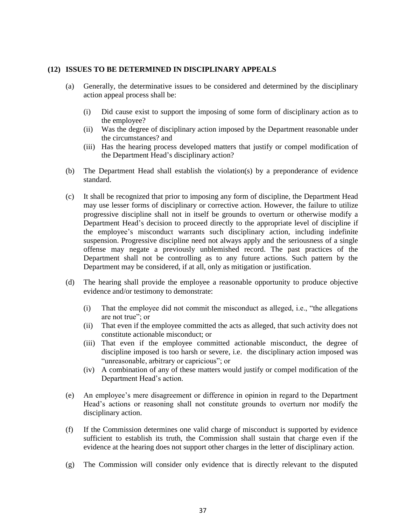#### **(12) ISSUES TO BE DETERMINED IN DISCIPLINARY APPEALS**

- (a) Generally, the determinative issues to be considered and determined by the disciplinary action appeal process shall be:
	- (i) Did cause exist to support the imposing of some form of disciplinary action as to the employee?
	- (ii) Was the degree of disciplinary action imposed by the Department reasonable under the circumstances? and
	- (iii) Has the hearing process developed matters that justify or compel modification of the Department Head's disciplinary action?
- (b) The Department Head shall establish the violation(s) by a preponderance of evidence standard.
- (c) It shall be recognized that prior to imposing any form of discipline, the Department Head may use lesser forms of disciplinary or corrective action. However, the failure to utilize progressive discipline shall not in itself be grounds to overturn or otherwise modify a Department Head's decision to proceed directly to the appropriate level of discipline if the employee's misconduct warrants such disciplinary action, including indefinite suspension. Progressive discipline need not always apply and the seriousness of a single offense may negate a previously unblemished record. The past practices of the Department shall not be controlling as to any future actions. Such pattern by the Department may be considered, if at all, only as mitigation or justification.
- (d) The hearing shall provide the employee a reasonable opportunity to produce objective evidence and/or testimony to demonstrate:
	- (i) That the employee did not commit the misconduct as alleged, i.e., "the allegations are not true"; or
	- (ii) That even if the employee committed the acts as alleged, that such activity does not constitute actionable misconduct; or
	- (iii) That even if the employee committed actionable misconduct, the degree of discipline imposed is too harsh or severe, i.e. the disciplinary action imposed was "unreasonable, arbitrary or capricious"; or
	- (iv) A combination of any of these matters would justify or compel modification of the Department Head's action.
- (e) An employee's mere disagreement or difference in opinion in regard to the Department Head's actions or reasoning shall not constitute grounds to overturn nor modify the disciplinary action.
- (f) If the Commission determines one valid charge of misconduct is supported by evidence sufficient to establish its truth, the Commission shall sustain that charge even if the evidence at the hearing does not support other charges in the letter of disciplinary action.
- (g) The Commission will consider only evidence that is directly relevant to the disputed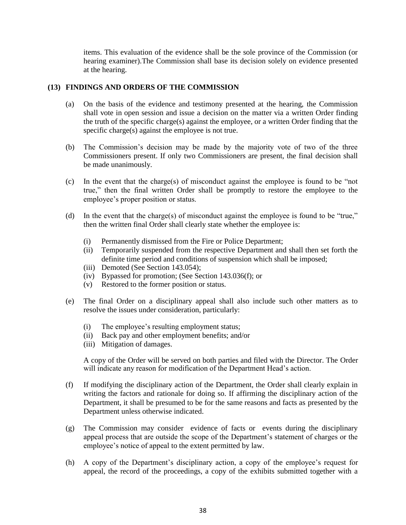items. This evaluation of the evidence shall be the sole province of the Commission (or hearing examiner).The Commission shall base its decision solely on evidence presented at the hearing.

#### **(13) FINDINGS AND ORDERS OF THE COMMISSION**

- (a) On the basis of the evidence and testimony presented at the hearing, the Commission shall vote in open session and issue a decision on the matter via a written Order finding the truth of the specific charge(s) against the employee, or a written Order finding that the specific charge(s) against the employee is not true.
- (b) The Commission's decision may be made by the majority vote of two of the three Commissioners present. If only two Commissioners are present, the final decision shall be made unanimously.
- (c) In the event that the charge(s) of misconduct against the employee is found to be "not true," then the final written Order shall be promptly to restore the employee to the employee's proper position or status.
- (d) In the event that the charge(s) of misconduct against the employee is found to be "true," then the written final Order shall clearly state whether the employee is:
	- (i) Permanently dismissed from the Fire or Police Department;
	- (ii) Temporarily suspended from the respective Department and shall then set forth the definite time period and conditions of suspension which shall be imposed;
	- (iii) Demoted (See Section 143.054);
	- (iv) Bypassed for promotion; (See Section 143.036(f); or
	- (v) Restored to the former position or status.
- (e) The final Order on a disciplinary appeal shall also include such other matters as to resolve the issues under consideration, particularly:
	- (i) The employee's resulting employment status;
	- (ii) Back pay and other employment benefits; and/or
	- (iii) Mitigation of damages.

A copy of the Order will be served on both parties and filed with the Director. The Order will indicate any reason for modification of the Department Head's action.

- (f) If modifying the disciplinary action of the Department, the Order shall clearly explain in writing the factors and rationale for doing so. If affirming the disciplinary action of the Department, it shall be presumed to be for the same reasons and facts as presented by the Department unless otherwise indicated.
- (g) The Commission may consider evidence of facts or events during the disciplinary appeal process that are outside the scope of the Department's statement of charges or the employee's notice of appeal to the extent permitted by law.
- (h) A copy of the Department's disciplinary action, a copy of the employee's request for appeal, the record of the proceedings, a copy of the exhibits submitted together with a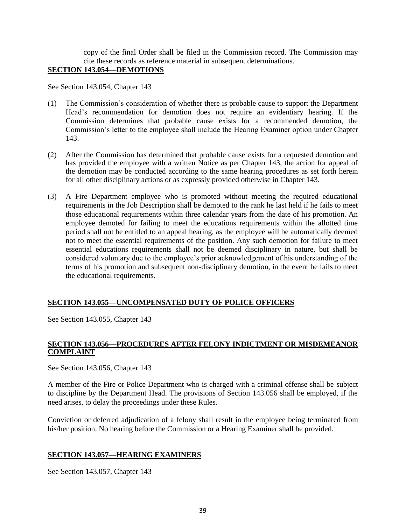copy of the final Order shall be filed in the Commission record. The Commission may cite these records as reference material in subsequent determinations.

## **SECTION 143.054—DEMOTIONS**

See Section 143.054, Chapter 143

- (1) The Commission's consideration of whether there is probable cause to support the Department Head's recommendation for demotion does not require an evidentiary hearing. If the Commission determines that probable cause exists for a recommended demotion, the Commission's letter to the employee shall include the Hearing Examiner option under Chapter 143.
- (2) After the Commission has determined that probable cause exists for a requested demotion and has provided the employee with a written Notice as per Chapter 143, the action for appeal of the demotion may be conducted according to the same hearing procedures as set forth herein for all other disciplinary actions or as expressly provided otherwise in Chapter 143.
- (3) A Fire Department employee who is promoted without meeting the required educational requirements in the Job Description shall be demoted to the rank he last held if he fails to meet those educational requirements within three calendar years from the date of his promotion. An employee demoted for failing to meet the educations requirements within the allotted time period shall not be entitled to an appeal hearing, as the employee will be automatically deemed not to meet the essential requirements of the position. Any such demotion for failure to meet essential educations requirements shall not be deemed disciplinary in nature, but shall be considered voluntary due to the employee's prior acknowledgement of his understanding of the terms of his promotion and subsequent non-disciplinary demotion, in the event he fails to meet the educational requirements.

## **SECTION 143.055—UNCOMPENSATED DUTY OF POLICE OFFICERS**

See Section 143.055, Chapter 143

## **SECTION 143.056—PROCEDURES AFTER FELONY INDICTMENT OR MISDEMEANOR COMPLAINT**

See Section 143.056, Chapter 143

A member of the Fire or Police Department who is charged with a criminal offense shall be subject to discipline by the Department Head. The provisions of Section 143.056 shall be employed, if the need arises, to delay the proceedings under these Rules.

Conviction or deferred adjudication of a felony shall result in the employee being terminated from his/her position. No hearing before the Commission or a Hearing Examiner shall be provided.

## **SECTION 143.057—HEARING EXAMINERS**

See Section 143.057, Chapter 143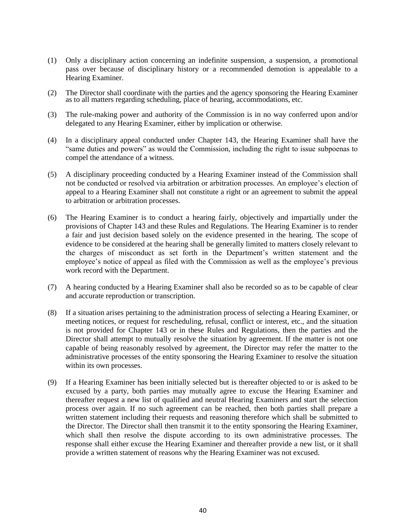- (1) Only a disciplinary action concerning an indefinite suspension, a suspension, a promotional pass over because of disciplinary history or a recommended demotion is appealable to a Hearing Examiner.
- (2) The Director shall coordinate with the parties and the agency sponsoring the Hearing Examiner as to all matters regarding scheduling, place of hearing, accommodations, etc.
- (3) The rule-making power and authority of the Commission is in no way conferred upon and/or delegated to any Hearing Examiner, either by implication or otherwise.
- (4) In a disciplinary appeal conducted under Chapter 143, the Hearing Examiner shall have the "same duties and powers" as would the Commission, including the right to issue subpoenas to compel the attendance of a witness.
- (5) A disciplinary proceeding conducted by a Hearing Examiner instead of the Commission shall not be conducted or resolved via arbitration or arbitration processes. An employee's election of appeal to a Hearing Examiner shall not constitute a right or an agreement to submit the appeal to arbitration or arbitration processes.
- (6) The Hearing Examiner is to conduct a hearing fairly, objectively and impartially under the provisions of Chapter 143 and these Rules and Regulations. The Hearing Examiner is to render a fair and just decision based solely on the evidence presented in the hearing. The scope of evidence to be considered at the hearing shall be generally limited to matters closely relevant to the charges of misconduct as set forth in the Department's written statement and the employee's notice of appeal as filed with the Commission as well as the employee's previous work record with the Department.
- (7) A hearing conducted by a Hearing Examiner shall also be recorded so as to be capable of clear and accurate reproduction or transcription.
- (8) If a situation arises pertaining to the administration process of selecting a Hearing Examiner, or meeting notices, or request for rescheduling, refusal, conflict or interest, etc., and the situation is not provided for Chapter 143 or in these Rules and Regulations, then the parties and the Director shall attempt to mutually resolve the situation by agreement. If the matter is not one capable of being reasonably resolved by agreement, the Director may refer the matter to the administrative processes of the entity sponsoring the Hearing Examiner to resolve the situation within its own processes.
- (9) If a Hearing Examiner has been initially selected but is thereafter objected to or is asked to be excused by a party, both parties may mutually agree to excuse the Hearing Examiner and thereafter request a new list of qualified and neutral Hearing Examiners and start the selection process over again. If no such agreement can be reached, then both parties shall prepare a written statement including their requests and reasoning therefore which shall be submitted to the Director. The Director shall then transmit it to the entity sponsoring the Hearing Examiner, which shall then resolve the dispute according to its own administrative processes. The response shall either excuse the Hearing Examiner and thereafter provide a new list, or it shall provide a written statement of reasons why the Hearing Examiner was not excused.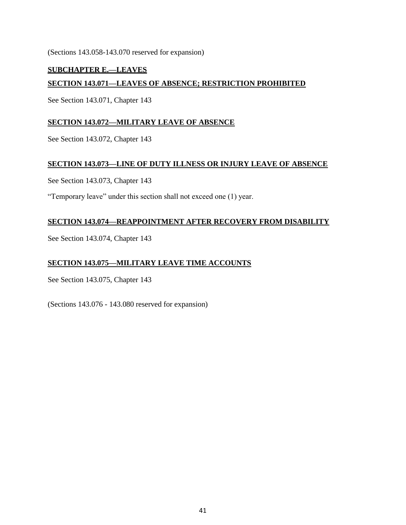(Sections 143.058-143.070 reserved for expansion)

## **SUBCHAPTER E.—LEAVES SECTION 143.071—LEAVES OF ABSENCE; RESTRICTION PROHIBITED**

See Section 143.071, Chapter 143

## **SECTION 143.072—MILITARY LEAVE OF ABSENCE**

See Section 143.072, Chapter 143

## **SECTION 143.073—LINE OF DUTY ILLNESS OR INJURY LEAVE OF ABSENCE**

See Section 143.073, Chapter 143

"Temporary leave" under this section shall not exceed one (1) year.

## **SECTION 143.074—REAPPOINTMENT AFTER RECOVERY FROM DISABILITY**

See Section 143.074, Chapter 143

## **SECTION 143.075—MILITARY LEAVE TIME ACCOUNTS**

See Section 143.075, Chapter 143

(Sections 143.076 - 143.080 reserved for expansion)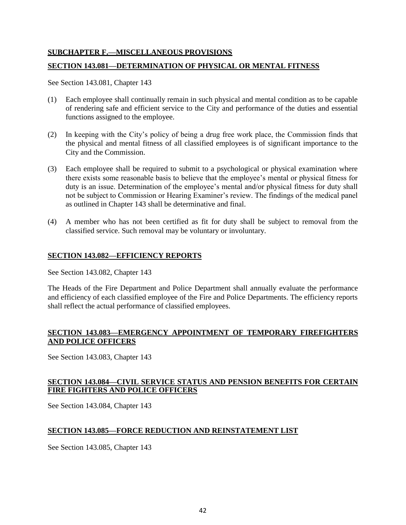## **SUBCHAPTER F.—MISCELLANEOUS PROVISIONS**

#### **SECTION 143.081—DETERMINATION OF PHYSICAL OR MENTAL FITNESS**

See Section 143.081, Chapter 143

- (1) Each employee shall continually remain in such physical and mental condition as to be capable of rendering safe and efficient service to the City and performance of the duties and essential functions assigned to the employee.
- (2) In keeping with the City's policy of being a drug free work place, the Commission finds that the physical and mental fitness of all classified employees is of significant importance to the City and the Commission.
- (3) Each employee shall be required to submit to a psychological or physical examination where there exists some reasonable basis to believe that the employee's mental or physical fitness for duty is an issue. Determination of the employee's mental and/or physical fitness for duty shall not be subject to Commission or Hearing Examiner's review. The findings of the medical panel as outlined in Chapter 143 shall be determinative and final.
- (4) A member who has not been certified as fit for duty shall be subject to removal from the classified service. Such removal may be voluntary or involuntary.

## **SECTION 143.082—EFFICIENCY REPORTS**

See Section 143.082, Chapter 143

The Heads of the Fire Department and Police Department shall annually evaluate the performance and efficiency of each classified employee of the Fire and Police Departments. The efficiency reports shall reflect the actual performance of classified employees.

## **SECTION 143.083—EMERGENCY APPOINTMENT OF TEMPORARY FIREFIGHTERS AND POLICE OFFICERS**

See Section 143.083, Chapter 143

## **SECTION 143.084—CIVIL SERVICE STATUS AND PENSION BENEFITS FOR CERTAIN FIRE FIGHTERS AND POLICE OFFICERS**

See Section 143.084, Chapter 143

## **SECTION 143.085—FORCE REDUCTION AND REINSTATEMENT LIST**

See Section 143.085, Chapter 143